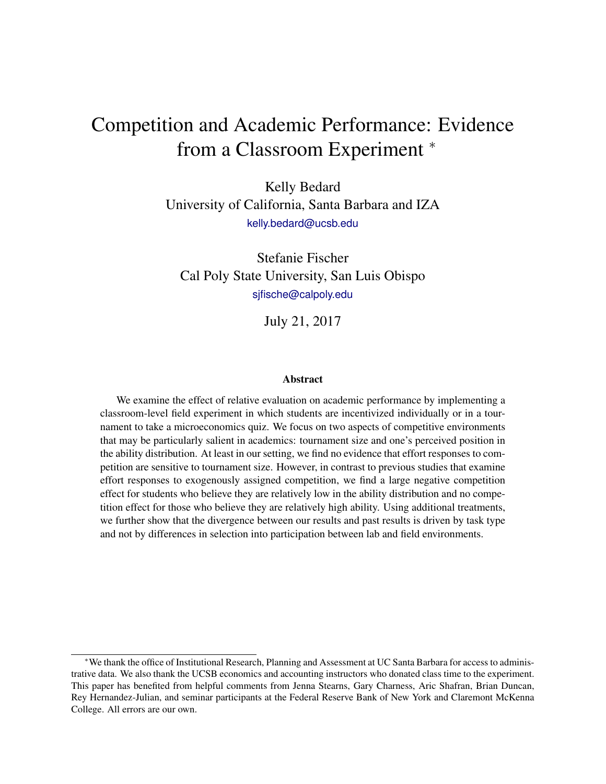# Competition and Academic Performance: Evidence from a Classroom Experiment  $*$

Kelly Bedard University of California, Santa Barbara and IZA [kelly.bedard@ucsb.edu](mailto:kelly.bedard@ucsb.edu )

Stefanie Fischer Cal Poly State University, San Luis Obispo [sjfische@calpoly.edu](mailto:sjfische@calpoly.edu)

July 21, 2017

#### Abstract

We examine the effect of relative evaluation on academic performance by implementing a classroom-level field experiment in which students are incentivized individually or in a tournament to take a microeconomics quiz. We focus on two aspects of competitive environments that may be particularly salient in academics: tournament size and one's perceived position in the ability distribution. At least in our setting, we find no evidence that effort responses to competition are sensitive to tournament size. However, in contrast to previous studies that examine effort responses to exogenously assigned competition, we find a large negative competition effect for students who believe they are relatively low in the ability distribution and no competition effect for those who believe they are relatively high ability. Using additional treatments, we further show that the divergence between our results and past results is driven by task type and not by differences in selection into participation between lab and field environments.

<sup>∗</sup>We thank the office of Institutional Research, Planning and Assessment at UC Santa Barbara for access to administrative data. We also thank the UCSB economics and accounting instructors who donated class time to the experiment. This paper has benefited from helpful comments from Jenna Stearns, Gary Charness, Aric Shafran, Brian Duncan, Rey Hernandez-Julian, and seminar participants at the Federal Reserve Bank of New York and Claremont McKenna College. All errors are our own.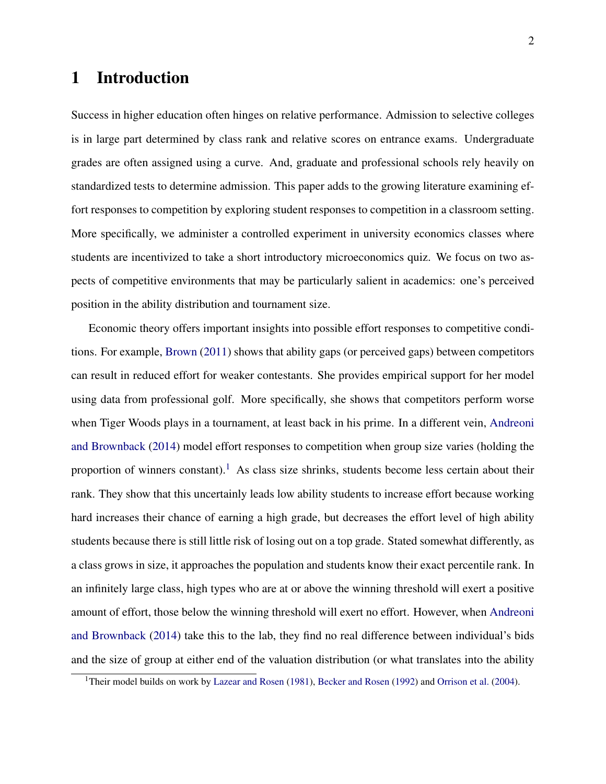# 1 Introduction

Success in higher education often hinges on relative performance. Admission to selective colleges is in large part determined by class rank and relative scores on entrance exams. Undergraduate grades are often assigned using a curve. And, graduate and professional schools rely heavily on standardized tests to determine admission. This paper adds to the growing literature examining effort responses to competition by exploring student responses to competition in a classroom setting. More specifically, we administer a controlled experiment in university economics classes where students are incentivized to take a short introductory microeconomics quiz. We focus on two aspects of competitive environments that may be particularly salient in academics: one's perceived position in the ability distribution and tournament size.

Economic theory offers important insights into possible effort responses to competitive conditions. For example, [Brown](#page-16-0) [\(2011\)](#page-16-0) shows that ability gaps (or perceived gaps) between competitors can result in reduced effort for weaker contestants. She provides empirical support for her model using data from professional golf. More specifically, she shows that competitors perform worse when Tiger Woods plays in a tournament, at least back in his prime. In a different vein, [Andreoni](#page-16-1) [and Brownback](#page-16-1) [\(2014\)](#page-16-1) model effort responses to competition when group size varies (holding the proportion of winners constant).<sup>[1](#page-1-0)</sup> As class size shrinks, students become less certain about their rank. They show that this uncertainly leads low ability students to increase effort because working hard increases their chance of earning a high grade, but decreases the effort level of high ability students because there is still little risk of losing out on a top grade. Stated somewhat differently, as a class grows in size, it approaches the population and students know their exact percentile rank. In an infinitely large class, high types who are at or above the winning threshold will exert a positive amount of effort, those below the winning threshold will exert no effort. However, when [Andreoni](#page-16-1) [and Brownback](#page-16-1) [\(2014\)](#page-16-1) take this to the lab, they find no real difference between individual's bids and the size of group at either end of the valuation distribution (or what translates into the ability

<span id="page-1-0"></span><sup>&</sup>lt;sup>1</sup>Their model builds on work by [Lazear and Rosen](#page-17-0) [\(1981\)](#page-17-0), [Becker and Rosen](#page-16-2) [\(1992\)](#page-16-2) and [Orrison et al.](#page-18-0) [\(2004\)](#page-18-0).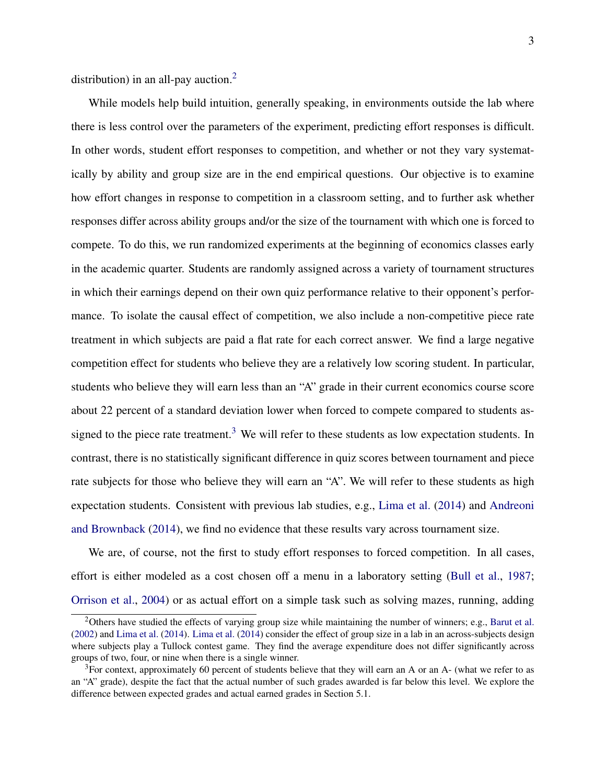distribution) in an all-pay auction.<sup>[2](#page-2-0)</sup>

While models help build intuition, generally speaking, in environments outside the lab where there is less control over the parameters of the experiment, predicting effort responses is difficult. In other words, student effort responses to competition, and whether or not they vary systematically by ability and group size are in the end empirical questions. Our objective is to examine how effort changes in response to competition in a classroom setting, and to further ask whether responses differ across ability groups and/or the size of the tournament with which one is forced to compete. To do this, we run randomized experiments at the beginning of economics classes early in the academic quarter. Students are randomly assigned across a variety of tournament structures in which their earnings depend on their own quiz performance relative to their opponent's performance. To isolate the causal effect of competition, we also include a non-competitive piece rate treatment in which subjects are paid a flat rate for each correct answer. We find a large negative competition effect for students who believe they are a relatively low scoring student. In particular, students who believe they will earn less than an "A" grade in their current economics course score about 22 percent of a standard deviation lower when forced to compete compared to students as-signed to the piece rate treatment.<sup>[3](#page-2-1)</sup> We will refer to these students as low expectation students. In contrast, there is no statistically significant difference in quiz scores between tournament and piece rate subjects for those who believe they will earn an "A". We will refer to these students as high expectation students. Consistent with previous lab studies, e.g., [Lima et al.](#page-17-1) [\(2014\)](#page-17-1) and [Andreoni](#page-16-1) [and Brownback](#page-16-1) [\(2014\)](#page-16-1), we find no evidence that these results vary across tournament size.

We are, of course, not the first to study effort responses to forced competition. In all cases, effort is either modeled as a cost chosen off a menu in a laboratory setting [\(Bull et al.,](#page-16-3) [1987;](#page-16-3) [Orrison et al.,](#page-18-0) [2004\)](#page-18-0) or as actual effort on a simple task such as solving mazes, running, adding

<span id="page-2-0"></span> $2$ Others have studied the effects of varying group size while maintaining the number of winners; e.g., [Barut et al.](#page-16-4) [\(2002\)](#page-16-4) and [Lima et al.](#page-17-1) [\(2014\)](#page-17-1). [Lima et al.](#page-17-1) [\(2014\)](#page-17-1) consider the effect of group size in a lab in an across-subjects design where subjects play a Tullock contest game. They find the average expenditure does not differ significantly across groups of two, four, or nine when there is a single winner.

<span id="page-2-1"></span><sup>&</sup>lt;sup>3</sup>For context, approximately 60 percent of students believe that they will earn an A or an A- (what we refer to as an "A" grade), despite the fact that the actual number of such grades awarded is far below this level. We explore the difference between expected grades and actual earned grades in Section 5.1.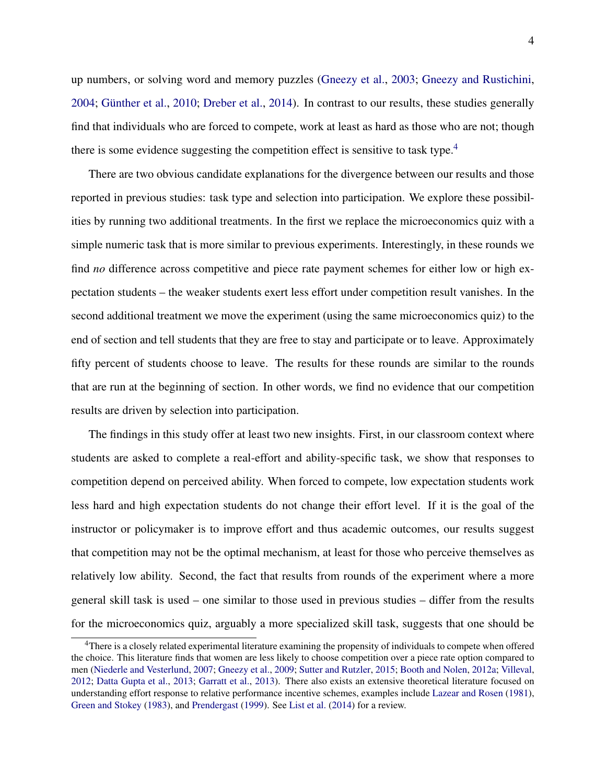up numbers, or solving word and memory puzzles [\(Gneezy et al.,](#page-17-2) [2003;](#page-17-2) [Gneezy and Rustichini,](#page-17-3) [2004;](#page-17-3) [Günther et al.,](#page-17-4) [2010;](#page-17-4) [Dreber et al.,](#page-16-5) [2014\)](#page-16-5). In contrast to our results, these studies generally find that individuals who are forced to compete, work at least as hard as those who are not; though there is some evidence suggesting the competition effect is sensitive to task type.<sup>[4](#page-3-0)</sup>

There are two obvious candidate explanations for the divergence between our results and those reported in previous studies: task type and selection into participation. We explore these possibilities by running two additional treatments. In the first we replace the microeconomics quiz with a simple numeric task that is more similar to previous experiments. Interestingly, in these rounds we find *no* difference across competitive and piece rate payment schemes for either low or high expectation students – the weaker students exert less effort under competition result vanishes. In the second additional treatment we move the experiment (using the same microeconomics quiz) to the end of section and tell students that they are free to stay and participate or to leave. Approximately fifty percent of students choose to leave. The results for these rounds are similar to the rounds that are run at the beginning of section. In other words, we find no evidence that our competition results are driven by selection into participation.

The findings in this study offer at least two new insights. First, in our classroom context where students are asked to complete a real-effort and ability-specific task, we show that responses to competition depend on perceived ability. When forced to compete, low expectation students work less hard and high expectation students do not change their effort level. If it is the goal of the instructor or policymaker is to improve effort and thus academic outcomes, our results suggest that competition may not be the optimal mechanism, at least for those who perceive themselves as relatively low ability. Second, the fact that results from rounds of the experiment where a more general skill task is used – one similar to those used in previous studies – differ from the results for the microeconomics quiz, arguably a more specialized skill task, suggests that one should be

<span id="page-3-0"></span><sup>&</sup>lt;sup>4</sup>There is a closely related experimental literature examining the propensity of individuals to compete when offered the choice. This literature finds that women are less likely to choose competition over a piece rate option compared to men [\(Niederle and Vesterlund,](#page-18-1) [2007;](#page-18-1) [Gneezy et al.,](#page-17-5) [2009;](#page-17-5) [Sutter and Rutzler,](#page-18-2) [2015;](#page-18-2) [Booth and Nolen,](#page-16-6) [2012a;](#page-16-6) [Villeval,](#page-18-3) [2012;](#page-18-3) [Datta Gupta et al.,](#page-17-6) [2013;](#page-17-6) [Garratt et al.,](#page-16-7) [2013\)](#page-16-7). There also exists an extensive theoretical literature focused on understanding effort response to relative performance incentive schemes, examples include [Lazear and Rosen](#page-17-0) [\(1981\)](#page-17-0), [Green and Stokey](#page-17-7) [\(1983\)](#page-17-7), and [Prendergast](#page-18-4) [\(1999\)](#page-18-4). See [List et al.](#page-17-8) [\(2014\)](#page-17-8) for a review.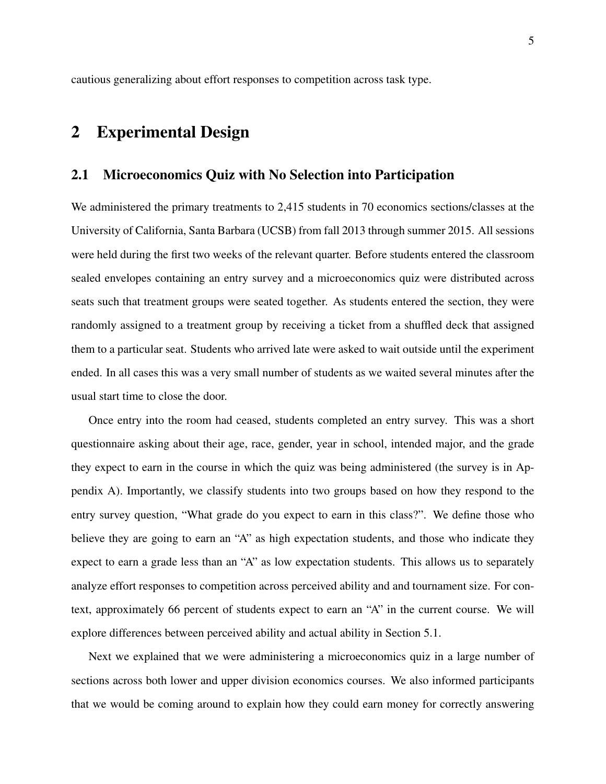cautious generalizing about effort responses to competition across task type.

# 2 Experimental Design

## 2.1 Microeconomics Quiz with No Selection into Participation

We administered the primary treatments to 2,415 students in 70 economics sections/classes at the University of California, Santa Barbara (UCSB) from fall 2013 through summer 2015. All sessions were held during the first two weeks of the relevant quarter. Before students entered the classroom sealed envelopes containing an entry survey and a microeconomics quiz were distributed across seats such that treatment groups were seated together. As students entered the section, they were randomly assigned to a treatment group by receiving a ticket from a shuffled deck that assigned them to a particular seat. Students who arrived late were asked to wait outside until the experiment ended. In all cases this was a very small number of students as we waited several minutes after the usual start time to close the door.

Once entry into the room had ceased, students completed an entry survey. This was a short questionnaire asking about their age, race, gender, year in school, intended major, and the grade they expect to earn in the course in which the quiz was being administered (the survey is in Appendix A). Importantly, we classify students into two groups based on how they respond to the entry survey question, "What grade do you expect to earn in this class?". We define those who believe they are going to earn an "A" as high expectation students, and those who indicate they expect to earn a grade less than an "A" as low expectation students. This allows us to separately analyze effort responses to competition across perceived ability and and tournament size. For context, approximately 66 percent of students expect to earn an "A" in the current course. We will explore differences between perceived ability and actual ability in Section 5.1.

Next we explained that we were administering a microeconomics quiz in a large number of sections across both lower and upper division economics courses. We also informed participants that we would be coming around to explain how they could earn money for correctly answering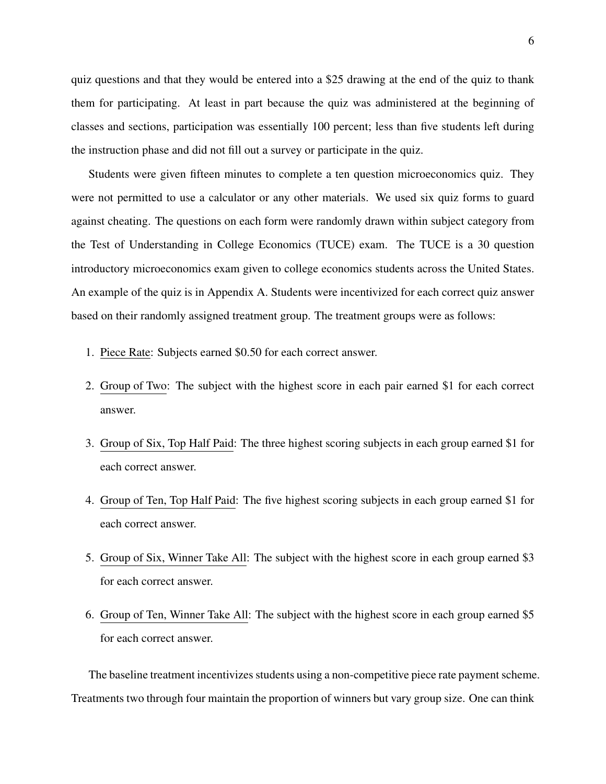quiz questions and that they would be entered into a \$25 drawing at the end of the quiz to thank them for participating. At least in part because the quiz was administered at the beginning of classes and sections, participation was essentially 100 percent; less than five students left during the instruction phase and did not fill out a survey or participate in the quiz.

Students were given fifteen minutes to complete a ten question microeconomics quiz. They were not permitted to use a calculator or any other materials. We used six quiz forms to guard against cheating. The questions on each form were randomly drawn within subject category from the Test of Understanding in College Economics (TUCE) exam. The TUCE is a 30 question introductory microeconomics exam given to college economics students across the United States. An example of the quiz is in Appendix A. Students were incentivized for each correct quiz answer based on their randomly assigned treatment group. The treatment groups were as follows:

- 1. Piece Rate: Subjects earned \$0.50 for each correct answer.
- 2. Group of Two: The subject with the highest score in each pair earned \$1 for each correct answer.
- 3. Group of Six, Top Half Paid: The three highest scoring subjects in each group earned \$1 for each correct answer.
- 4. Group of Ten, Top Half Paid: The five highest scoring subjects in each group earned \$1 for each correct answer.
- 5. Group of Six, Winner Take All: The subject with the highest score in each group earned \$3 for each correct answer.
- 6. Group of Ten, Winner Take All: The subject with the highest score in each group earned \$5 for each correct answer.

The baseline treatment incentivizes students using a non-competitive piece rate payment scheme. Treatments two through four maintain the proportion of winners but vary group size. One can think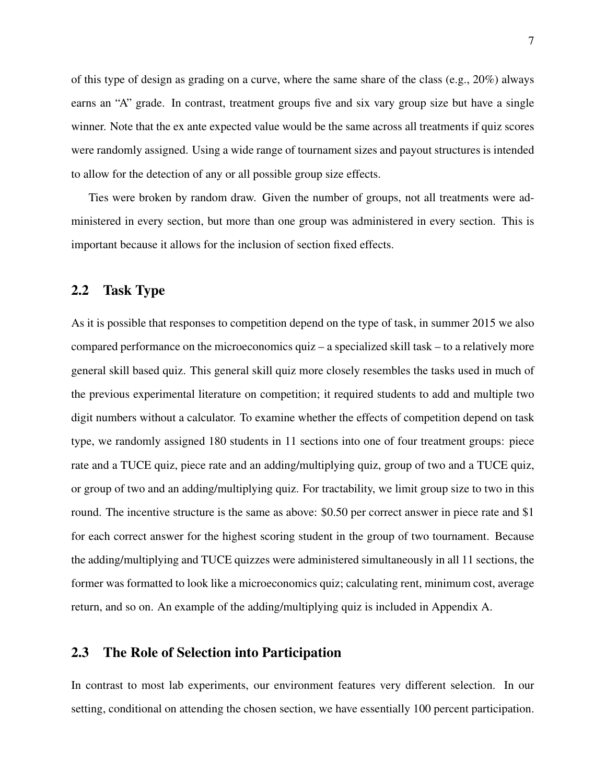of this type of design as grading on a curve, where the same share of the class (e.g.,  $20\%$ ) always earns an "A" grade. In contrast, treatment groups five and six vary group size but have a single winner. Note that the ex ante expected value would be the same across all treatments if quiz scores were randomly assigned. Using a wide range of tournament sizes and payout structures is intended to allow for the detection of any or all possible group size effects.

Ties were broken by random draw. Given the number of groups, not all treatments were administered in every section, but more than one group was administered in every section. This is important because it allows for the inclusion of section fixed effects.

## 2.2 Task Type

As it is possible that responses to competition depend on the type of task, in summer 2015 we also compared performance on the microeconomics quiz – a specialized skill task – to a relatively more general skill based quiz. This general skill quiz more closely resembles the tasks used in much of the previous experimental literature on competition; it required students to add and multiple two digit numbers without a calculator. To examine whether the effects of competition depend on task type, we randomly assigned 180 students in 11 sections into one of four treatment groups: piece rate and a TUCE quiz, piece rate and an adding/multiplying quiz, group of two and a TUCE quiz, or group of two and an adding/multiplying quiz. For tractability, we limit group size to two in this round. The incentive structure is the same as above: \$0.50 per correct answer in piece rate and \$1 for each correct answer for the highest scoring student in the group of two tournament. Because the adding/multiplying and TUCE quizzes were administered simultaneously in all 11 sections, the former was formatted to look like a microeconomics quiz; calculating rent, minimum cost, average return, and so on. An example of the adding/multiplying quiz is included in Appendix A.

## 2.3 The Role of Selection into Participation

In contrast to most lab experiments, our environment features very different selection. In our setting, conditional on attending the chosen section, we have essentially 100 percent participation.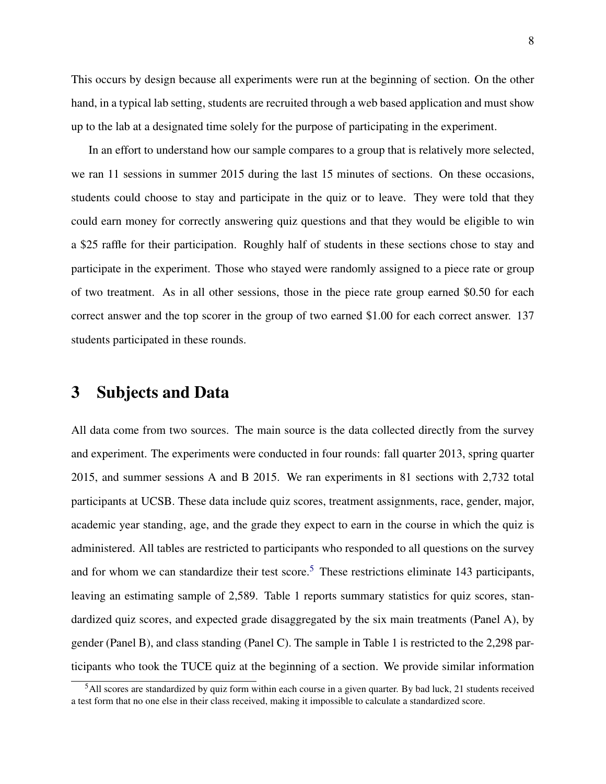This occurs by design because all experiments were run at the beginning of section. On the other hand, in a typical lab setting, students are recruited through a web based application and must show up to the lab at a designated time solely for the purpose of participating in the experiment.

In an effort to understand how our sample compares to a group that is relatively more selected, we ran 11 sessions in summer 2015 during the last 15 minutes of sections. On these occasions, students could choose to stay and participate in the quiz or to leave. They were told that they could earn money for correctly answering quiz questions and that they would be eligible to win a \$25 raffle for their participation. Roughly half of students in these sections chose to stay and participate in the experiment. Those who stayed were randomly assigned to a piece rate or group of two treatment. As in all other sessions, those in the piece rate group earned \$0.50 for each correct answer and the top scorer in the group of two earned \$1.00 for each correct answer. 137 students participated in these rounds.

## 3 Subjects and Data

All data come from two sources. The main source is the data collected directly from the survey and experiment. The experiments were conducted in four rounds: fall quarter 2013, spring quarter 2015, and summer sessions A and B 2015. We ran experiments in 81 sections with 2,732 total participants at UCSB. These data include quiz scores, treatment assignments, race, gender, major, academic year standing, age, and the grade they expect to earn in the course in which the quiz is administered. All tables are restricted to participants who responded to all questions on the survey and for whom we can standardize their test score.<sup>[5](#page-7-0)</sup> These restrictions eliminate 143 participants, leaving an estimating sample of 2,589. Table 1 reports summary statistics for quiz scores, standardized quiz scores, and expected grade disaggregated by the six main treatments (Panel A), by gender (Panel B), and class standing (Panel C). The sample in Table 1 is restricted to the 2,298 participants who took the TUCE quiz at the beginning of a section. We provide similar information

<span id="page-7-0"></span><sup>5</sup>All scores are standardized by quiz form within each course in a given quarter. By bad luck, 21 students received a test form that no one else in their class received, making it impossible to calculate a standardized score.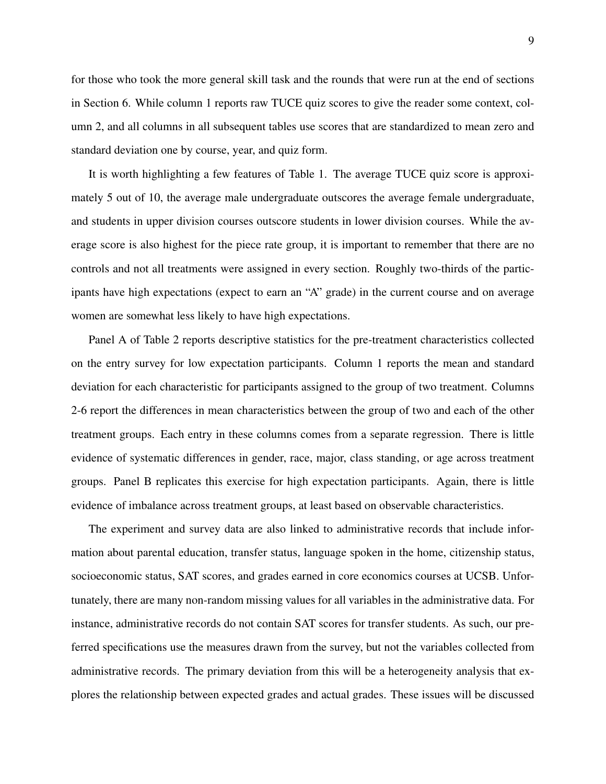for those who took the more general skill task and the rounds that were run at the end of sections in Section 6. While column 1 reports raw TUCE quiz scores to give the reader some context, column 2, and all columns in all subsequent tables use scores that are standardized to mean zero and standard deviation one by course, year, and quiz form.

It is worth highlighting a few features of Table 1. The average TUCE quiz score is approximately 5 out of 10, the average male undergraduate outscores the average female undergraduate, and students in upper division courses outscore students in lower division courses. While the average score is also highest for the piece rate group, it is important to remember that there are no controls and not all treatments were assigned in every section. Roughly two-thirds of the participants have high expectations (expect to earn an "A" grade) in the current course and on average women are somewhat less likely to have high expectations.

Panel A of Table 2 reports descriptive statistics for the pre-treatment characteristics collected on the entry survey for low expectation participants. Column 1 reports the mean and standard deviation for each characteristic for participants assigned to the group of two treatment. Columns 2-6 report the differences in mean characteristics between the group of two and each of the other treatment groups. Each entry in these columns comes from a separate regression. There is little evidence of systematic differences in gender, race, major, class standing, or age across treatment groups. Panel B replicates this exercise for high expectation participants. Again, there is little evidence of imbalance across treatment groups, at least based on observable characteristics.

The experiment and survey data are also linked to administrative records that include information about parental education, transfer status, language spoken in the home, citizenship status, socioeconomic status, SAT scores, and grades earned in core economics courses at UCSB. Unfortunately, there are many non-random missing values for all variables in the administrative data. For instance, administrative records do not contain SAT scores for transfer students. As such, our preferred specifications use the measures drawn from the survey, but not the variables collected from administrative records. The primary deviation from this will be a heterogeneity analysis that explores the relationship between expected grades and actual grades. These issues will be discussed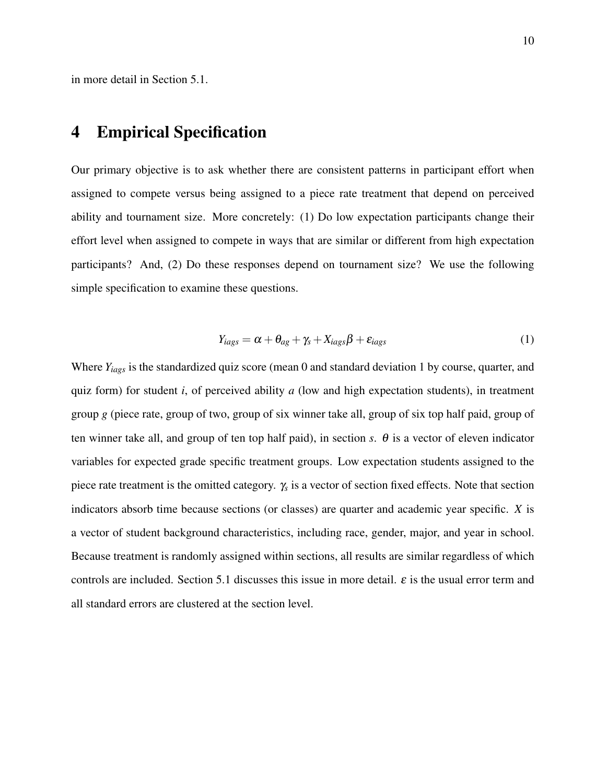in more detail in Section 5.1.

# 4 Empirical Specification

Our primary objective is to ask whether there are consistent patterns in participant effort when assigned to compete versus being assigned to a piece rate treatment that depend on perceived ability and tournament size. More concretely: (1) Do low expectation participants change their effort level when assigned to compete in ways that are similar or different from high expectation participants? And, (2) Do these responses depend on tournament size? We use the following simple specification to examine these questions.

$$
Y_{iags} = \alpha + \theta_{ag} + \gamma_s + X_{iags} \beta + \varepsilon_{iags}
$$
 (1)

Where *Yiags* is the standardized quiz score (mean 0 and standard deviation 1 by course, quarter, and quiz form) for student *i*, of perceived ability *a* (low and high expectation students), in treatment group *g* (piece rate, group of two, group of six winner take all, group of six top half paid, group of ten winner take all, and group of ten top half paid), in section *s*.  $\theta$  is a vector of eleven indicator variables for expected grade specific treatment groups. Low expectation students assigned to the piece rate treatment is the omitted category. γ*<sup>s</sup>* is a vector of section fixed effects. Note that section indicators absorb time because sections (or classes) are quarter and academic year specific. *X* is a vector of student background characteristics, including race, gender, major, and year in school. Because treatment is randomly assigned within sections, all results are similar regardless of which controls are included. Section 5.1 discusses this issue in more detail.  $\varepsilon$  is the usual error term and all standard errors are clustered at the section level.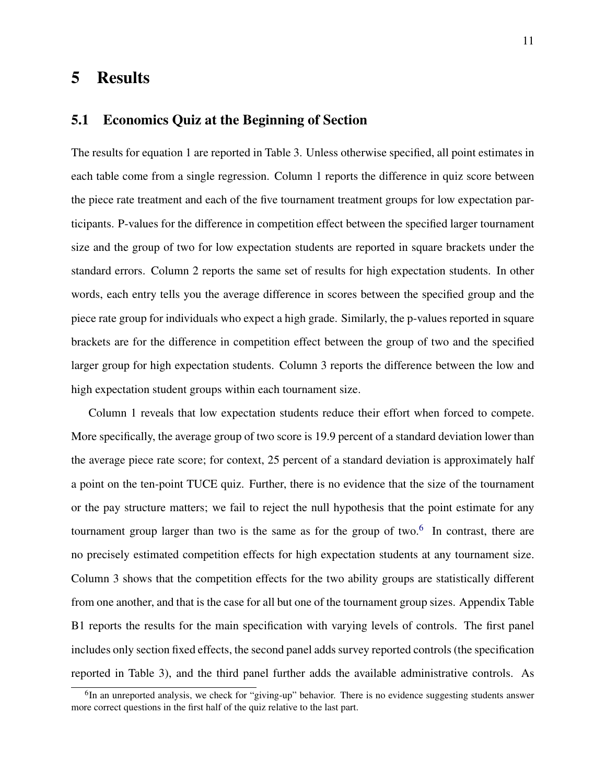# 5 Results

## 5.1 Economics Quiz at the Beginning of Section

The results for equation 1 are reported in Table 3. Unless otherwise specified, all point estimates in each table come from a single regression. Column 1 reports the difference in quiz score between the piece rate treatment and each of the five tournament treatment groups for low expectation participants. P-values for the difference in competition effect between the specified larger tournament size and the group of two for low expectation students are reported in square brackets under the standard errors. Column 2 reports the same set of results for high expectation students. In other words, each entry tells you the average difference in scores between the specified group and the piece rate group for individuals who expect a high grade. Similarly, the p-values reported in square brackets are for the difference in competition effect between the group of two and the specified larger group for high expectation students. Column 3 reports the difference between the low and high expectation student groups within each tournament size.

Column 1 reveals that low expectation students reduce their effort when forced to compete. More specifically, the average group of two score is 19.9 percent of a standard deviation lower than the average piece rate score; for context, 25 percent of a standard deviation is approximately half a point on the ten-point TUCE quiz. Further, there is no evidence that the size of the tournament or the pay structure matters; we fail to reject the null hypothesis that the point estimate for any tournament group larger than two is the same as for the group of two. $6\,$  $6\,$  In contrast, there are no precisely estimated competition effects for high expectation students at any tournament size. Column 3 shows that the competition effects for the two ability groups are statistically different from one another, and that is the case for all but one of the tournament group sizes. Appendix Table B1 reports the results for the main specification with varying levels of controls. The first panel includes only section fixed effects, the second panel adds survey reported controls (the specification reported in Table 3), and the third panel further adds the available administrative controls. As

<span id="page-10-0"></span><sup>&</sup>lt;sup>6</sup>In an unreported analysis, we check for "giving-up" behavior. There is no evidence suggesting students answer more correct questions in the first half of the quiz relative to the last part.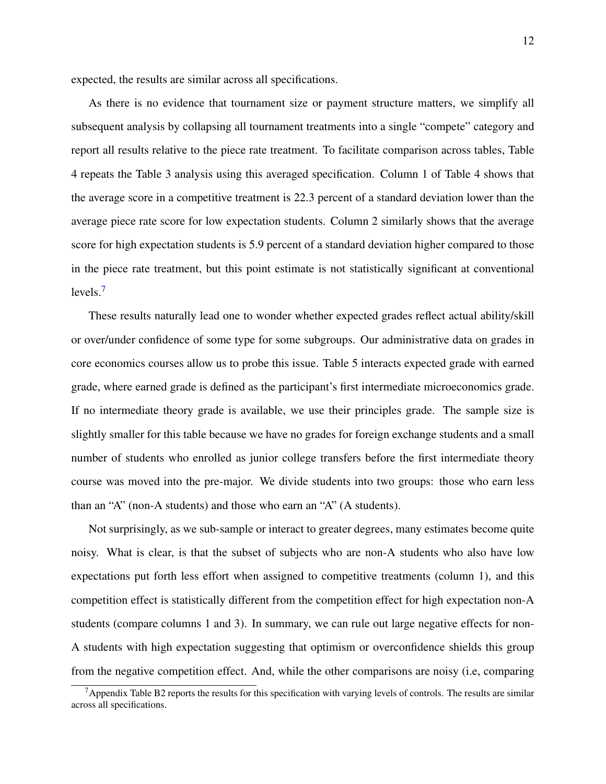expected, the results are similar across all specifications.

As there is no evidence that tournament size or payment structure matters, we simplify all subsequent analysis by collapsing all tournament treatments into a single "compete" category and report all results relative to the piece rate treatment. To facilitate comparison across tables, Table 4 repeats the Table 3 analysis using this averaged specification. Column 1 of Table 4 shows that the average score in a competitive treatment is 22.3 percent of a standard deviation lower than the average piece rate score for low expectation students. Column 2 similarly shows that the average score for high expectation students is 5.9 percent of a standard deviation higher compared to those in the piece rate treatment, but this point estimate is not statistically significant at conventional levels.[7](#page-11-0)

These results naturally lead one to wonder whether expected grades reflect actual ability/skill or over/under confidence of some type for some subgroups. Our administrative data on grades in core economics courses allow us to probe this issue. Table 5 interacts expected grade with earned grade, where earned grade is defined as the participant's first intermediate microeconomics grade. If no intermediate theory grade is available, we use their principles grade. The sample size is slightly smaller for this table because we have no grades for foreign exchange students and a small number of students who enrolled as junior college transfers before the first intermediate theory course was moved into the pre-major. We divide students into two groups: those who earn less than an "A" (non-A students) and those who earn an "A" (A students).

Not surprisingly, as we sub-sample or interact to greater degrees, many estimates become quite noisy. What is clear, is that the subset of subjects who are non-A students who also have low expectations put forth less effort when assigned to competitive treatments (column 1), and this competition effect is statistically different from the competition effect for high expectation non-A students (compare columns 1 and 3). In summary, we can rule out large negative effects for non-A students with high expectation suggesting that optimism or overconfidence shields this group from the negative competition effect. And, while the other comparisons are noisy (i.e, comparing

<span id="page-11-0"></span> $7$ Appendix Table B2 reports the results for this specification with varying levels of controls. The results are similar across all specifications.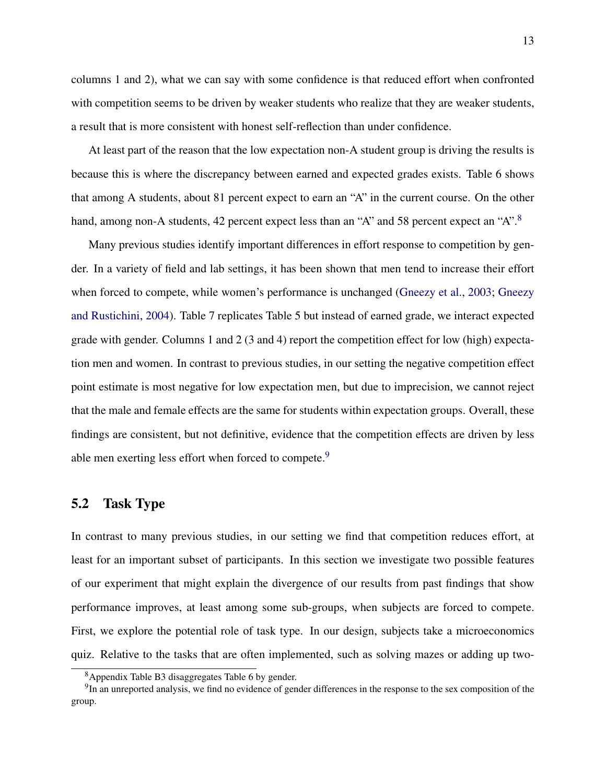columns 1 and 2), what we can say with some confidence is that reduced effort when confronted with competition seems to be driven by weaker students who realize that they are weaker students, a result that is more consistent with honest self-reflection than under confidence.

At least part of the reason that the low expectation non-A student group is driving the results is because this is where the discrepancy between earned and expected grades exists. Table 6 shows that among A students, about 81 percent expect to earn an "A" in the current course. On the other hand, among non-A students, 42 percent expect less than an "A" and 5[8](#page-12-0) percent expect an "A".<sup>8</sup>

Many previous studies identify important differences in effort response to competition by gender. In a variety of field and lab settings, it has been shown that men tend to increase their effort when forced to compete, while women's performance is unchanged [\(Gneezy et al.,](#page-17-2) [2003;](#page-17-2) [Gneezy](#page-17-3) [and Rustichini,](#page-17-3) [2004\)](#page-17-3). Table 7 replicates Table 5 but instead of earned grade, we interact expected grade with gender. Columns 1 and 2 (3 and 4) report the competition effect for low (high) expectation men and women. In contrast to previous studies, in our setting the negative competition effect point estimate is most negative for low expectation men, but due to imprecision, we cannot reject that the male and female effects are the same for students within expectation groups. Overall, these findings are consistent, but not definitive, evidence that the competition effects are driven by less able men exerting less effort when forced to compete.<sup>[9](#page-12-1)</sup>

## 5.2 Task Type

In contrast to many previous studies, in our setting we find that competition reduces effort, at least for an important subset of participants. In this section we investigate two possible features of our experiment that might explain the divergence of our results from past findings that show performance improves, at least among some sub-groups, when subjects are forced to compete. First, we explore the potential role of task type. In our design, subjects take a microeconomics quiz. Relative to the tasks that are often implemented, such as solving mazes or adding up two-

<span id="page-12-1"></span><span id="page-12-0"></span><sup>8</sup>Appendix Table B3 disaggregates Table 6 by gender.

<sup>&</sup>lt;sup>9</sup>In an unreported analysis, we find no evidence of gender differences in the response to the sex composition of the group.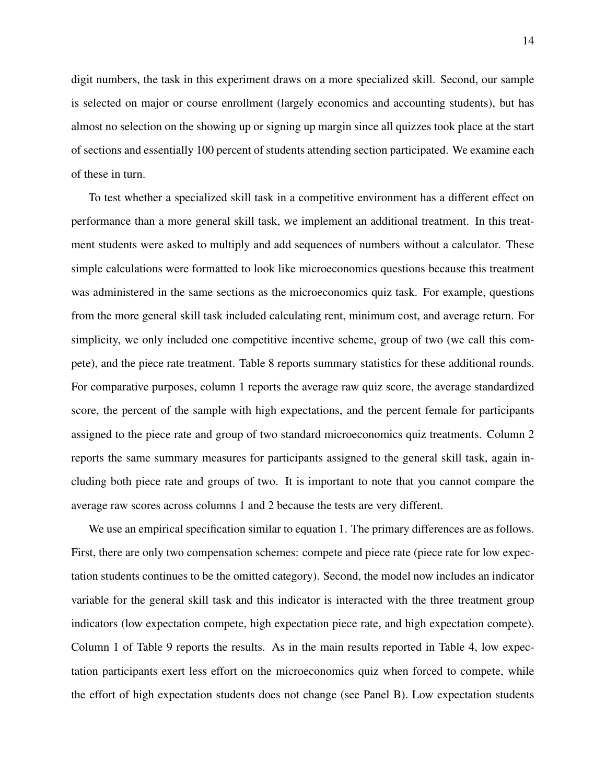digit numbers, the task in this experiment draws on a more specialized skill. Second, our sample is selected on major or course enrollment (largely economics and accounting students), but has almost no selection on the showing up or signing up margin since all quizzes took place at the start of sections and essentially 100 percent of students attending section participated. We examine each of these in turn.

To test whether a specialized skill task in a competitive environment has a different effect on performance than a more general skill task, we implement an additional treatment. In this treatment students were asked to multiply and add sequences of numbers without a calculator. These simple calculations were formatted to look like microeconomics questions because this treatment was administered in the same sections as the microeconomics quiz task. For example, questions from the more general skill task included calculating rent, minimum cost, and average return. For simplicity, we only included one competitive incentive scheme, group of two (we call this compete), and the piece rate treatment. Table 8 reports summary statistics for these additional rounds. For comparative purposes, column 1 reports the average raw quiz score, the average standardized score, the percent of the sample with high expectations, and the percent female for participants assigned to the piece rate and group of two standard microeconomics quiz treatments. Column 2 reports the same summary measures for participants assigned to the general skill task, again including both piece rate and groups of two. It is important to note that you cannot compare the average raw scores across columns 1 and 2 because the tests are very different.

We use an empirical specification similar to equation 1. The primary differences are as follows. First, there are only two compensation schemes: compete and piece rate (piece rate for low expectation students continues to be the omitted category). Second, the model now includes an indicator variable for the general skill task and this indicator is interacted with the three treatment group indicators (low expectation compete, high expectation piece rate, and high expectation compete). Column 1 of Table 9 reports the results. As in the main results reported in Table 4, low expectation participants exert less effort on the microeconomics quiz when forced to compete, while the effort of high expectation students does not change (see Panel B). Low expectation students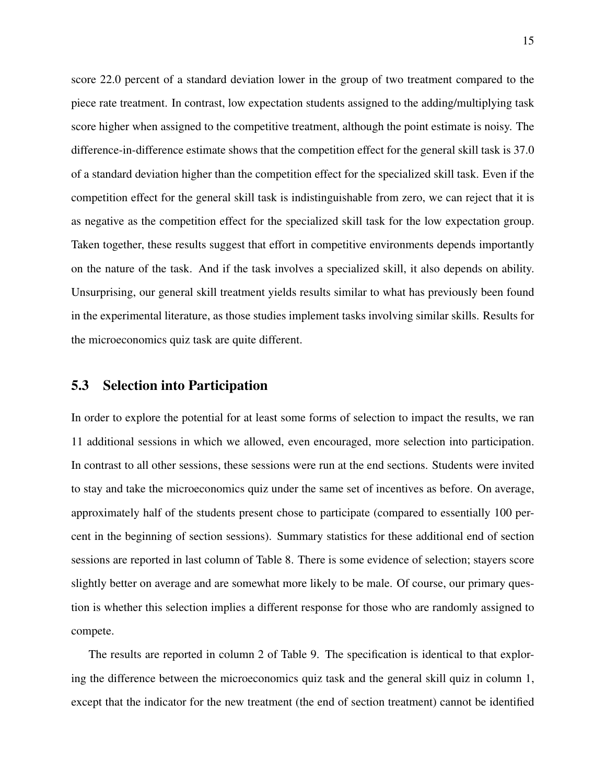score 22.0 percent of a standard deviation lower in the group of two treatment compared to the piece rate treatment. In contrast, low expectation students assigned to the adding/multiplying task score higher when assigned to the competitive treatment, although the point estimate is noisy. The difference-in-difference estimate shows that the competition effect for the general skill task is 37.0 of a standard deviation higher than the competition effect for the specialized skill task. Even if the competition effect for the general skill task is indistinguishable from zero, we can reject that it is as negative as the competition effect for the specialized skill task for the low expectation group. Taken together, these results suggest that effort in competitive environments depends importantly on the nature of the task. And if the task involves a specialized skill, it also depends on ability. Unsurprising, our general skill treatment yields results similar to what has previously been found in the experimental literature, as those studies implement tasks involving similar skills. Results for the microeconomics quiz task are quite different.

### 5.3 Selection into Participation

In order to explore the potential for at least some forms of selection to impact the results, we ran 11 additional sessions in which we allowed, even encouraged, more selection into participation. In contrast to all other sessions, these sessions were run at the end sections. Students were invited to stay and take the microeconomics quiz under the same set of incentives as before. On average, approximately half of the students present chose to participate (compared to essentially 100 percent in the beginning of section sessions). Summary statistics for these additional end of section sessions are reported in last column of Table 8. There is some evidence of selection; stayers score slightly better on average and are somewhat more likely to be male. Of course, our primary question is whether this selection implies a different response for those who are randomly assigned to compete.

The results are reported in column 2 of Table 9. The specification is identical to that exploring the difference between the microeconomics quiz task and the general skill quiz in column 1, except that the indicator for the new treatment (the end of section treatment) cannot be identified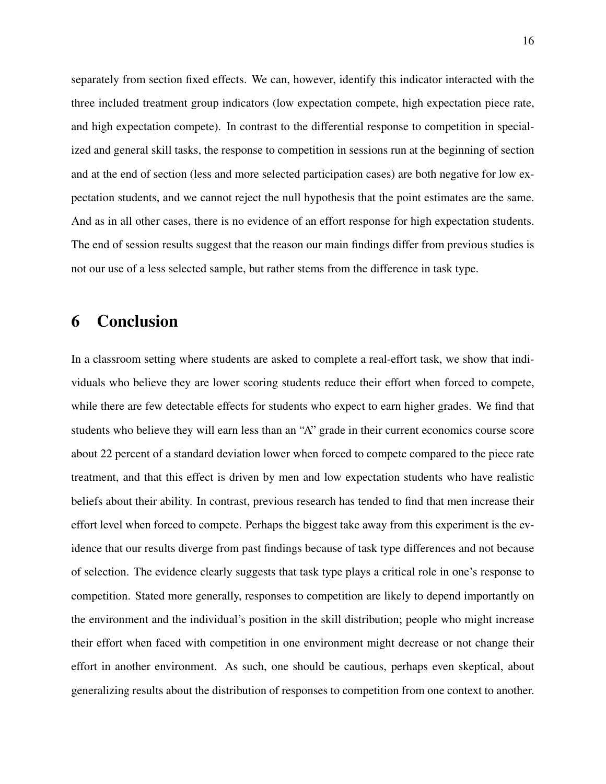separately from section fixed effects. We can, however, identify this indicator interacted with the three included treatment group indicators (low expectation compete, high expectation piece rate, and high expectation compete). In contrast to the differential response to competition in specialized and general skill tasks, the response to competition in sessions run at the beginning of section and at the end of section (less and more selected participation cases) are both negative for low expectation students, and we cannot reject the null hypothesis that the point estimates are the same. And as in all other cases, there is no evidence of an effort response for high expectation students. The end of session results suggest that the reason our main findings differ from previous studies is not our use of a less selected sample, but rather stems from the difference in task type.

# 6 Conclusion

In a classroom setting where students are asked to complete a real-effort task, we show that individuals who believe they are lower scoring students reduce their effort when forced to compete, while there are few detectable effects for students who expect to earn higher grades. We find that students who believe they will earn less than an "A" grade in their current economics course score about 22 percent of a standard deviation lower when forced to compete compared to the piece rate treatment, and that this effect is driven by men and low expectation students who have realistic beliefs about their ability. In contrast, previous research has tended to find that men increase their effort level when forced to compete. Perhaps the biggest take away from this experiment is the evidence that our results diverge from past findings because of task type differences and not because of selection. The evidence clearly suggests that task type plays a critical role in one's response to competition. Stated more generally, responses to competition are likely to depend importantly on the environment and the individual's position in the skill distribution; people who might increase their effort when faced with competition in one environment might decrease or not change their effort in another environment. As such, one should be cautious, perhaps even skeptical, about generalizing results about the distribution of responses to competition from one context to another.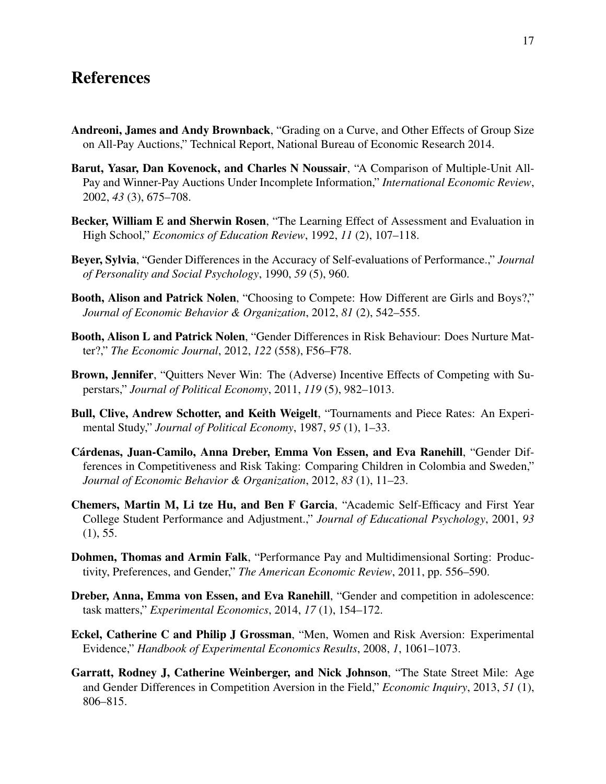# References

- <span id="page-16-1"></span>Andreoni, James and Andy Brownback, "Grading on a Curve, and Other Effects of Group Size on All-Pay Auctions," Technical Report, National Bureau of Economic Research 2014.
- <span id="page-16-4"></span>Barut, Yasar, Dan Kovenock, and Charles N Noussair, "A Comparison of Multiple-Unit All-Pay and Winner-Pay Auctions Under Incomplete Information," *International Economic Review*, 2002, *43* (3), 675–708.
- <span id="page-16-2"></span>Becker, William E and Sherwin Rosen, "The Learning Effect of Assessment and Evaluation in High School," *Economics of Education Review*, 1992, *11* (2), 107–118.
- Beyer, Sylvia, "Gender Differences in the Accuracy of Self-evaluations of Performance.," *Journal of Personality and Social Psychology*, 1990, *59* (5), 960.
- <span id="page-16-6"></span>Booth, Alison and Patrick Nolen, "Choosing to Compete: How Different are Girls and Boys?," *Journal of Economic Behavior & Organization*, 2012, *81* (2), 542–555.
- Booth, Alison L and Patrick Nolen, "Gender Differences in Risk Behaviour: Does Nurture Matter?," *The Economic Journal*, 2012, *122* (558), F56–F78.
- <span id="page-16-0"></span>Brown, Jennifer, "Quitters Never Win: The (Adverse) Incentive Effects of Competing with Superstars," *Journal of Political Economy*, 2011, *119* (5), 982–1013.
- <span id="page-16-3"></span>Bull, Clive, Andrew Schotter, and Keith Weigelt, "Tournaments and Piece Rates: An Experimental Study," *Journal of Political Economy*, 1987, *95* (1), 1–33.
- Cárdenas, Juan-Camilo, Anna Dreber, Emma Von Essen, and Eva Ranehill, "Gender Differences in Competitiveness and Risk Taking: Comparing Children in Colombia and Sweden," *Journal of Economic Behavior & Organization*, 2012, *83* (1), 11–23.
- Chemers, Martin M, Li tze Hu, and Ben F Garcia, "Academic Self-Efficacy and First Year College Student Performance and Adjustment.," *Journal of Educational Psychology*, 2001, *93*  $(1), 55.$
- Dohmen, Thomas and Armin Falk, "Performance Pay and Multidimensional Sorting: Productivity, Preferences, and Gender," *The American Economic Review*, 2011, pp. 556–590.
- <span id="page-16-5"></span>Dreber, Anna, Emma von Essen, and Eva Ranehill, "Gender and competition in adolescence: task matters," *Experimental Economics*, 2014, *17* (1), 154–172.
- Eckel, Catherine C and Philip J Grossman, "Men, Women and Risk Aversion: Experimental Evidence," *Handbook of Experimental Economics Results*, 2008, *1*, 1061–1073.
- <span id="page-16-7"></span>Garratt, Rodney J, Catherine Weinberger, and Nick Johnson, "The State Street Mile: Age and Gender Differences in Competition Aversion in the Field," *Economic Inquiry*, 2013, *51* (1), 806–815.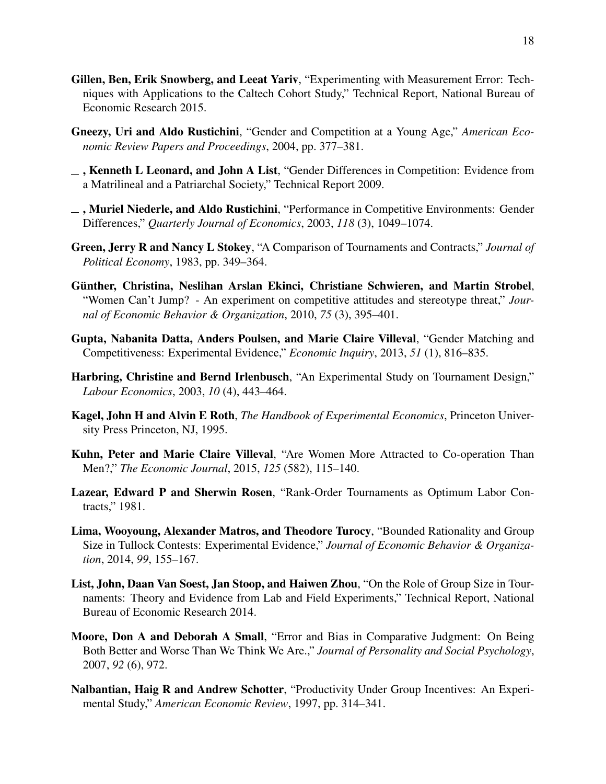- Gillen, Ben, Erik Snowberg, and Leeat Yariv, "Experimenting with Measurement Error: Techniques with Applications to the Caltech Cohort Study," Technical Report, National Bureau of Economic Research 2015.
- <span id="page-17-3"></span>Gneezy, Uri and Aldo Rustichini, "Gender and Competition at a Young Age," *American Economic Review Papers and Proceedings*, 2004, pp. 377–381.
- <span id="page-17-5"></span> $\overline{\phantom{a}}$ , Kenneth L Leonard, and John A List, "Gender Differences in Competition: Evidence from a Matrilineal and a Patriarchal Society," Technical Report 2009.
- <span id="page-17-2"></span> $\Box$ , Muriel Niederle, and Aldo Rustichini, "Performance in Competitive Environments: Gender Differences," *Quarterly Journal of Economics*, 2003, *118* (3), 1049–1074.
- <span id="page-17-7"></span>Green, Jerry R and Nancy L Stokey, "A Comparison of Tournaments and Contracts," *Journal of Political Economy*, 1983, pp. 349–364.
- <span id="page-17-4"></span>Günther, Christina, Neslihan Arslan Ekinci, Christiane Schwieren, and Martin Strobel, "Women Can't Jump? - An experiment on competitive attitudes and stereotype threat," *Journal of Economic Behavior & Organization*, 2010, *75* (3), 395–401.
- <span id="page-17-6"></span>Gupta, Nabanita Datta, Anders Poulsen, and Marie Claire Villeval, "Gender Matching and Competitiveness: Experimental Evidence," *Economic Inquiry*, 2013, *51* (1), 816–835.
- Harbring, Christine and Bernd Irlenbusch, "An Experimental Study on Tournament Design," *Labour Economics*, 2003, *10* (4), 443–464.
- Kagel, John H and Alvin E Roth, *The Handbook of Experimental Economics*, Princeton University Press Princeton, NJ, 1995.
- Kuhn, Peter and Marie Claire Villeval, "Are Women More Attracted to Co-operation Than Men?," *The Economic Journal*, 2015, *125* (582), 115–140.
- <span id="page-17-0"></span>Lazear, Edward P and Sherwin Rosen, "Rank-Order Tournaments as Optimum Labor Contracts," 1981.
- <span id="page-17-1"></span>Lima, Wooyoung, Alexander Matros, and Theodore Turocy, "Bounded Rationality and Group Size in Tullock Contests: Experimental Evidence," *Journal of Economic Behavior & Organization*, 2014, *99*, 155–167.
- <span id="page-17-8"></span>List, John, Daan Van Soest, Jan Stoop, and Haiwen Zhou, "On the Role of Group Size in Tournaments: Theory and Evidence from Lab and Field Experiments," Technical Report, National Bureau of Economic Research 2014.
- Moore, Don A and Deborah A Small, "Error and Bias in Comparative Judgment: On Being Both Better and Worse Than We Think We Are.," *Journal of Personality and Social Psychology*, 2007, *92* (6), 972.
- Nalbantian, Haig R and Andrew Schotter, "Productivity Under Group Incentives: An Experimental Study," *American Economic Review*, 1997, pp. 314–341.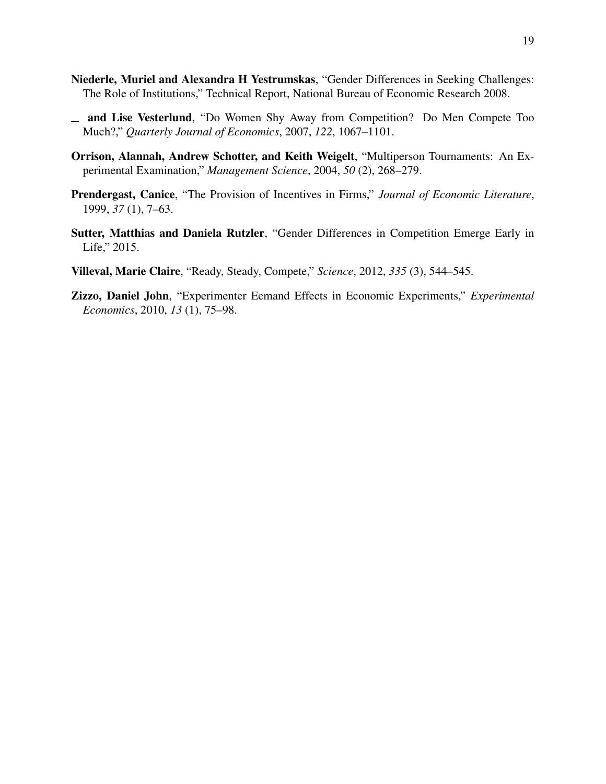- Niederle, Muriel and Alexandra H Yestrumskas, "Gender Differences in Seeking Challenges: The Role of Institutions," Technical Report, National Bureau of Economic Research 2008.
- <span id="page-18-1"></span>and Lise Vesterlund, "Do Women Shy Away from Competition? Do Men Compete Too Much?," *Quarterly Journal of Economics*, 2007, *122*, 1067–1101.
- <span id="page-18-0"></span>Orrison, Alannah, Andrew Schotter, and Keith Weigelt, "Multiperson Tournaments: An Experimental Examination," *Management Science*, 2004, *50* (2), 268–279.
- <span id="page-18-4"></span>Prendergast, Canice, "The Provision of Incentives in Firms," *Journal of Economic Literature*, 1999, *37* (1), 7–63.
- <span id="page-18-2"></span>Sutter, Matthias and Daniela Rutzler, "Gender Differences in Competition Emerge Early in Life," 2015.
- <span id="page-18-3"></span>Villeval, Marie Claire, "Ready, Steady, Compete," *Science*, 2012, *335* (3), 544–545.
- Zizzo, Daniel John, "Experimenter Eemand Effects in Economic Experiments," *Experimental Economics*, 2010, *13* (1), 75–98.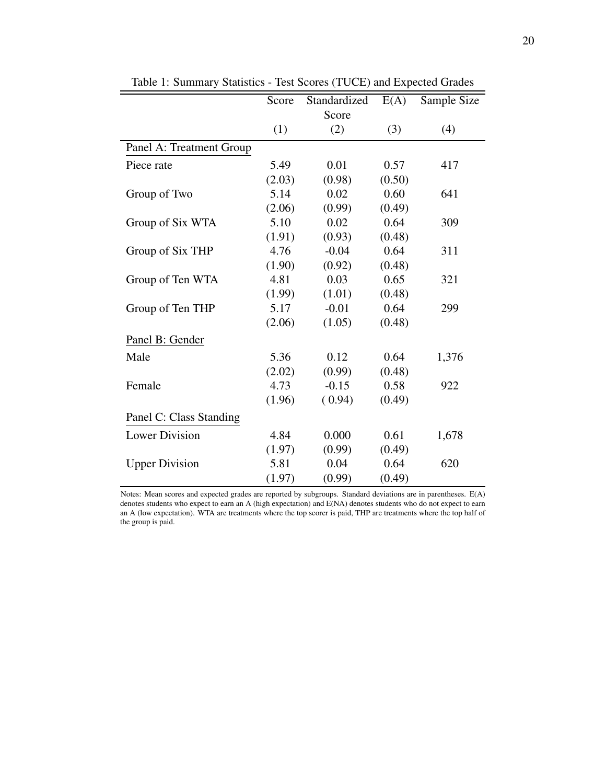|                          | Score  | Standardized | E(A)   | Sample Size |
|--------------------------|--------|--------------|--------|-------------|
|                          |        | Score        |        |             |
|                          | (1)    | (2)          | (3)    | (4)         |
| Panel A: Treatment Group |        |              |        |             |
| Piece rate               | 5.49   | 0.01         | 0.57   | 417         |
|                          | (2.03) | (0.98)       | (0.50) |             |
| Group of Two             | 5.14   | 0.02         | 0.60   | 641         |
|                          | (2.06) | (0.99)       | (0.49) |             |
| Group of Six WTA         | 5.10   | 0.02         | 0.64   | 309         |
|                          | (1.91) | (0.93)       | (0.48) |             |
| Group of Six THP         | 4.76   | $-0.04$      | 0.64   | 311         |
|                          | (1.90) | (0.92)       | (0.48) |             |
| Group of Ten WTA         | 4.81   | 0.03         | 0.65   | 321         |
|                          | (1.99) | (1.01)       | (0.48) |             |
| Group of Ten THP         | 5.17   | $-0.01$      | 0.64   | 299         |
|                          | (2.06) | (1.05)       | (0.48) |             |
| Panel B: Gender          |        |              |        |             |
| Male                     | 5.36   | 0.12         | 0.64   | 1,376       |
|                          | (2.02) | (0.99)       | (0.48) |             |
| Female                   | 4.73   | $-0.15$      | 0.58   | 922         |
|                          | (1.96) | (0.94)       | (0.49) |             |
| Panel C: Class Standing  |        |              |        |             |
| <b>Lower Division</b>    | 4.84   | 0.000        | 0.61   | 1,678       |
|                          | (1.97) | (0.99)       | (0.49) |             |
| <b>Upper Division</b>    | 5.81   | 0.04         | 0.64   | 620         |
|                          | (1.97) | (0.99)       | (0.49) |             |

Table 1: Summary Statistics - Test Scores (TUCE) and Expected Grades

Notes: Mean scores and expected grades are reported by subgroups. Standard deviations are in parentheses. E(A) denotes students who expect to earn an A (high expectation) and E(NA) denotes students who do not expect to earn an A (low expectation). WTA are treatments where the top scorer is paid, THP are treatments where the top half of the group is paid.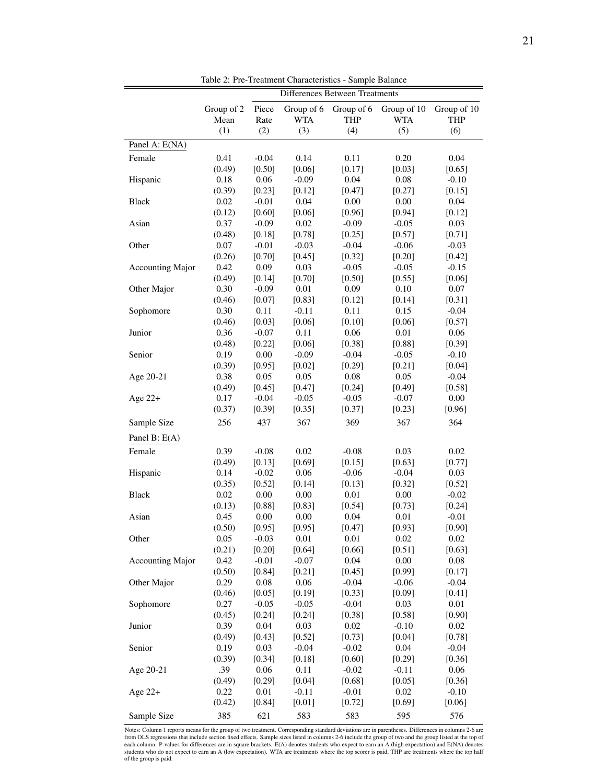|                         |            |          | <b>Differences Between Treatments</b> |            |             |             |
|-------------------------|------------|----------|---------------------------------------|------------|-------------|-------------|
|                         | Group of 2 | Piece    | Group of 6                            | Group of 6 | Group of 10 | Group of 10 |
|                         | Mean       | Rate     | <b>WTA</b>                            | <b>THP</b> | <b>WTA</b>  | <b>THP</b>  |
|                         | (1)        | (2)      | (3)                                   | (4)        | (5)         | (6)         |
| Panel A: E(NA)          |            |          |                                       |            |             |             |
| Female                  | 0.41       | $-0.04$  | 0.14                                  | 0.11       | 0.20        | $0.04\,$    |
|                         | (0.49)     | [0.50]   | [0.06]                                | [0.17]     | [0.03]      | [0.65]      |
| Hispanic                | 0.18       | 0.06     | $-0.09$                               | 0.04       | 0.08        | $-0.10$     |
|                         | (0.39)     | [0.23]   | [0.12]                                | [0.47]     | [0.27]      | [0.15]      |
| Black                   | 0.02       | $-0.01$  | 0.04                                  | 0.00       | 0.00        | 0.04        |
|                         | (0.12)     | [0.60]   | [0.06]                                | [0.96]     | [0.94]      | [0.12]      |
| Asian                   | 0.37       | $-0.09$  | 0.02                                  | $-0.09$    | $-0.05$     | 0.03        |
|                         | (0.48)     | [0.18]   | [0.78]                                | [0.25]     | [0.57]      | [0.71]      |
| Other                   | 0.07       | $-0.01$  | $-0.03$                               | $-0.04$    | $-0.06$     | $-0.03$     |
|                         | (0.26)     | [0.70]   | [0.45]                                | [0.32]     | [0.20]      | [0.42]      |
| <b>Accounting Major</b> | 0.42       | 0.09     | 0.03                                  | $-0.05$    | $-0.05$     | $-0.15$     |
|                         | (0.49)     | [0.14]   | [0.70]                                | [0.50]     | [0.55]      | [0.06]      |
| Other Major             | 0.30       | $-0.09$  | $0.01\,$                              | 0.09       | 0.10        | $0.07\,$    |
|                         | (0.46)     | [0.07]   | [0.83]                                | [0.12]     | [0.14]      | [0.31]      |
| Sophomore               | 0.30       | 0.11     | $-0.11$                               | 0.11       | 0.15        | $-0.04$     |
|                         | (0.46)     | [0.03]   | [0.06]                                | [0.10]     | [0.06]      | [0.57]      |
| Junior                  | 0.36       | $-0.07$  | 0.11                                  | 0.06       | 0.01        | 0.06        |
|                         | (0.48)     | [0.22]   | [0.06]                                | [0.38]     | [0.88]      | [0.39]      |
| Senior                  | 0.19       | $0.00\,$ | $-0.09$                               | $-0.04$    | $-0.05$     | $-0.10$     |
|                         | (0.39)     | [0.95]   | [0.02]                                | [0.29]     | [0.21]      | [0.04]      |
| Age 20-21               | 0.38       | 0.05     | 0.05                                  | $0.08\,$   | 0.05        | $-0.04$     |
|                         | (0.49)     | [0.45]   | [0.47]                                | [0.24]     | [0.49]      | [0.58]      |
| Age $22+$               | 0.17       | $-0.04$  | $-0.05$                               | $-0.05$    | $-0.07$     | 0.00        |
|                         | (0.37)     | [0.39]   | [0.35]                                | [0.37]     | [0.23]      | [0.96]      |
| Sample Size             | 256        | 437      | 367                                   | 369        | 367         | 364         |
| Panel B: E(A)           |            |          |                                       |            |             |             |
| Female                  | 0.39       | $-0.08$  | 0.02                                  | $-0.08$    | 0.03        | $0.02\,$    |
|                         | (0.49)     | [0.13]   | [0.69]                                | [0.15]     | [0.63]      | [0.77]      |
| Hispanic                | 0.14       | $-0.02$  | 0.06                                  | $-0.06$    | $-0.04$     | 0.03        |
|                         | (0.35)     | [0.52]   | [0.14]                                | [0.13]     | [0.32]      | [0.52]      |
| <b>Black</b>            | 0.02       | $0.00\,$ | $0.00\,$                              | $0.01\,$   | $0.00\,$    | $-0.02$     |
|                         | (0.13)     | [0.88]   | [0.83]                                | [0.54]     | [0.73]      | [0.24]      |
| Asian                   | 0.45       | 0.00     | 0.00                                  | 0.04       | 0.01        | $-0.01$     |
|                         | (0.50)     | [0.95]   | [0.95]                                | [0.47]     | [0.93]      | [0.90]      |
| Other                   | 0.05       | $-0.03$  | 0.01                                  | 0.01       | 0.02        | $0.02\,$    |
|                         | (0.21)     | [0.20]   | [0.64]                                | [0.66]     | [0.51]      | [0.63]      |
| <b>Accounting Major</b> | 0.42       | $-0.01$  | $-0.07$                               | 0.04       | 0.00        | 0.08        |
|                         | (0.50)     | [0.84]   | [0.21]                                | [0.45]     | [0.99]      | [0.17]      |
| Other Major             | 0.29       | 0.08     | 0.06                                  | $-0.04$    | $-0.06$     | $-0.04$     |
|                         | (0.46)     | [0.05]   | [0.19]                                | [0.33]     | [0.09]      | [0.41]      |
| Sophomore               | 0.27       | $-0.05$  | $-0.05$                               | $-0.04$    | 0.03        | 0.01        |
|                         | (0.45)     | [0.24]   | [0.24]                                | [0.38]     | [0.58]      | [0.90]      |
| Junior                  | 0.39       | 0.04     | 0.03                                  | $0.02\,$   | $-0.10$     | 0.02        |
|                         | (0.49)     | [0.43]   | [0.52]                                | [0.73]     | [0.04]      | [0.78]      |
| Senior                  | 0.19       | 0.03     | $-0.04$                               | $-0.02$    | 0.04        | $-0.04$     |
|                         | (0.39)     | [0.34]   | [0.18]                                | [0.60]     | [0.29]      | [0.36]      |
| Age 20-21               | .39        | 0.06     | 0.11                                  | $-0.02$    | $-0.11$     | 0.06        |
|                         | (0.49)     | [0.29]   | [0.04]                                | [0.68]     | [0.05]      | [0.36]      |
| Age $22+$               | 0.22       | 0.01     | $-0.11$                               | $-0.01$    | 0.02        | $-0.10$     |
|                         | (0.42)     | [0.84]   | [0.01]                                | [0.72]     | [0.69]      | [0.06]      |
| Sample Size             | 385        | 621      | 583                                   | 583        | 595         | 576         |

Table 2: Pre-Treatment Characteristics - Sample Balance

Notes: Column 1 reports means for the group of two treatment. Corresponding standard deviations are in parentheses. Differences in columns 2-6 are<br>from OLS regressions that include section fixed effects. Sample sizes liste each column. P-values for differences are in square brackets. E(A) denotes students who expect to earn an A (high expectation) and E(NA) denotes students who do not expect to earn an A (low expectation). WTA are treatments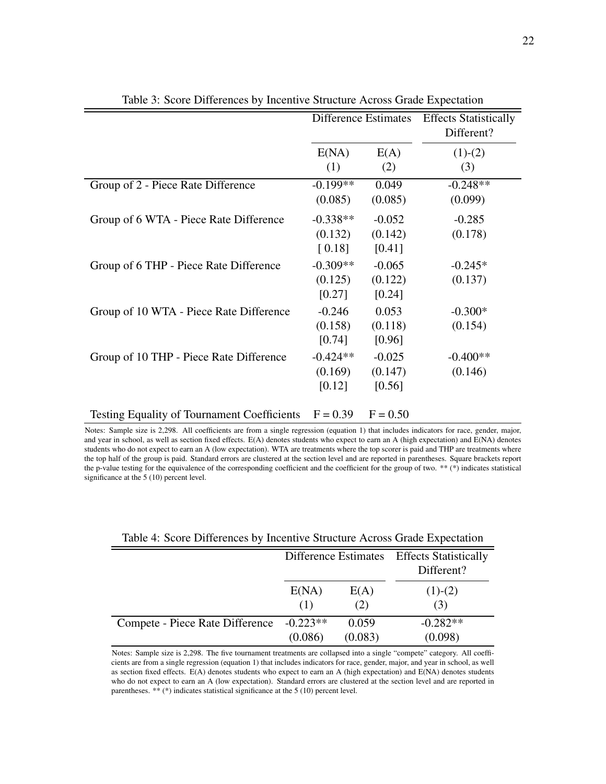|                                                    |                                   | Difference Estimates          | <b>Effects Statistically</b><br>Different? |
|----------------------------------------------------|-----------------------------------|-------------------------------|--------------------------------------------|
|                                                    | E(NA)<br>(1)                      | E(A)<br>(2)                   | $(1)-(2)$<br>(3)                           |
| Group of 2 - Piece Rate Difference                 | $-0.199**$<br>(0.085)             | 0.049<br>(0.085)              | $-0.248**$<br>(0.099)                      |
| Group of 6 WTA - Piece Rate Difference             | $-0.338**$<br>(0.132)<br>$[0.18]$ | $-0.052$<br>(0.142)<br>[0.41] | $-0.285$<br>(0.178)                        |
| Group of 6 THP - Piece Rate Difference             | $-0.309**$<br>(0.125)<br>[0.27]   | $-0.065$<br>(0.122)<br>[0.24] | $-0.245*$<br>(0.137)                       |
| Group of 10 WTA - Piece Rate Difference            | $-0.246$<br>(0.158)<br>[0.74]     | 0.053<br>(0.118)<br>[0.96]    | $-0.300*$<br>(0.154)                       |
| Group of 10 THP - Piece Rate Difference            | $-0.424**$<br>(0.169)<br>[0.12]   | $-0.025$<br>(0.147)<br>[0.56] | $-0.400**$<br>(0.146)                      |
| <b>Testing Equality of Tournament Coefficients</b> | $F = 0.39$                        | $F = 0.50$                    |                                            |

Table 3: Score Differences by Incentive Structure Across Grade Expectation

Notes: Sample size is 2,298. All coefficients are from a single regression (equation 1) that includes indicators for race, gender, major, and year in school, as well as section fixed effects. E(A) denotes students who expect to earn an A (high expectation) and E(NA) denotes students who do not expect to earn an A (low expectation). WTA are treatments where the top scorer is paid and THP are treatments where the top half of the group is paid. Standard errors are clustered at the section level and are reported in parentheses. Square brackets report the p-value testing for the equivalence of the corresponding coefficient and the coefficient for the group of two. \*\* (\*) indicates statistical significance at the 5 (10) percent level.

|                                 |            |         | Difference Estimates Effects Statistically<br>Different? |
|---------------------------------|------------|---------|----------------------------------------------------------|
|                                 | E(NA)      | E(A)    | $(1)-(2)$                                                |
|                                 | (1)        | (2)     | (3)                                                      |
| Compete - Piece Rate Difference | $-0.223**$ | 0.059   | $-0.282**$                                               |
|                                 | (0.086)    | (0.083) | (0.098)                                                  |

Table 4: Score Differences by Incentive Structure Across Grade Expectation

Notes: Sample size is 2,298. The five tournament treatments are collapsed into a single "compete" category. All coefficients are from a single regression (equation 1) that includes indicators for race, gender, major, and year in school, as well as section fixed effects. E(A) denotes students who expect to earn an A (high expectation) and E(NA) denotes students who do not expect to earn an A (low expectation). Standard errors are clustered at the section level and are reported in parentheses. \*\* (\*) indicates statistical significance at the 5 (10) percent level.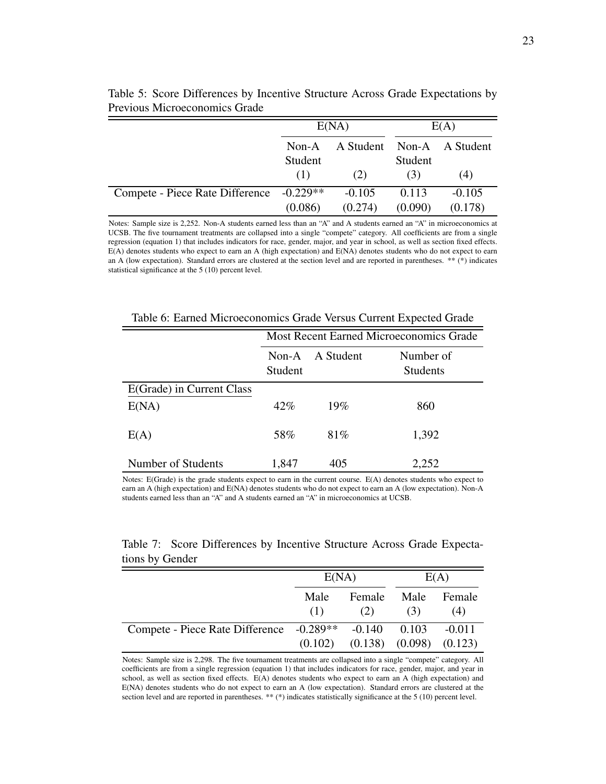|                                                      | E(NA)   |                           | E(A)    |          |
|------------------------------------------------------|---------|---------------------------|---------|----------|
|                                                      | Non-A   | A Student Non-A A Student |         |          |
|                                                      | Student |                           | Student |          |
|                                                      | (1)     | (2)                       | (3)     | (4)      |
| Compete - Piece Rate Difference -0.229 <sup>**</sup> |         | $-0.105$                  | 0.113   | $-0.105$ |
|                                                      | (0.086) | (0.274)                   | (0.090) | (0.178)  |

Table 5: Score Differences by Incentive Structure Across Grade Expectations by Previous Microeconomics Grade

Notes: Sample size is 2,252. Non-A students earned less than an "A" and A students earned an "A" in microeconomics at UCSB. The five tournament treatments are collapsed into a single "compete" category. All coefficients are from a single regression (equation 1) that includes indicators for race, gender, major, and year in school, as well as section fixed effects. E(A) denotes students who expect to earn an A (high expectation) and E(NA) denotes students who do not expect to earn an A (low expectation). Standard errors are clustered at the section level and are reported in parentheses. \*\* (\*) indicates statistical significance at the 5 (10) percent level.

|                           |                    |           | <b>Most Recent Earned Microeconomics Grade</b> |  |
|---------------------------|--------------------|-----------|------------------------------------------------|--|
|                           | $Non-A$<br>Student | A Student | Number of<br><b>Students</b>                   |  |
| E(Grade) in Current Class |                    |           |                                                |  |
| E(NA)                     | 42%                | 19%       | 860                                            |  |
| E(A)                      | 58%                | 81%       | 1,392                                          |  |
| Number of Students        | 1,847              | 405       | 2,252                                          |  |

Table 6: Earned Microeconomics Grade Versus Current Expected Grade

Notes: E(Grade) is the grade students expect to earn in the current course. E(A) denotes students who expect to earn an A (high expectation) and E(NA) denotes students who do not expect to earn an A (low expectation). Non-A students earned less than an "A" and A students earned an "A" in microeconomics at UCSB.

|                 | Table 7: Score Differences by Incentive Structure Across Grade Expecta- |  |  |  |
|-----------------|-------------------------------------------------------------------------|--|--|--|
| tions by Gender |                                                                         |  |  |  |

|                                                       | E(NA)       |               | E(A)                          |               |
|-------------------------------------------------------|-------------|---------------|-------------------------------|---------------|
|                                                       | Male<br>(1) | Female<br>(2) | Male<br>(3)                   | Female<br>(4) |
| Compete - Piece Rate Difference -0.289** -0.140 0.103 |             |               |                               | $-0.011$      |
|                                                       | (0.102)     |               | $(0.138)$ $(0.098)$ $(0.123)$ |               |

Notes: Sample size is 2,298. The five tournament treatments are collapsed into a single "compete" category. All coefficients are from a single regression (equation 1) that includes indicators for race, gender, major, and year in school, as well as section fixed effects. E(A) denotes students who expect to earn an A (high expectation) and E(NA) denotes students who do not expect to earn an A (low expectation). Standard errors are clustered at the section level and are reported in parentheses. \*\* (\*) indicates statistically significance at the 5 (10) percent level.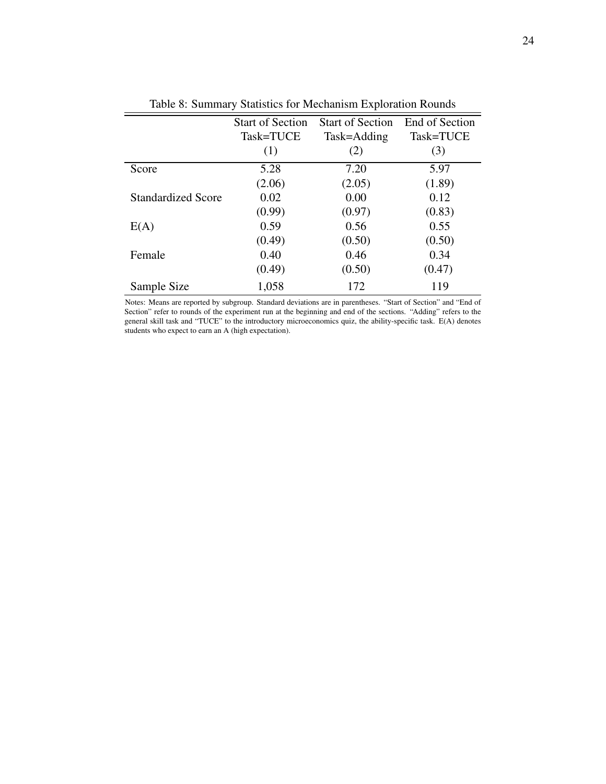|                           | <b>Start of Section</b> | <b>Start of Section</b> | End of Section |
|---------------------------|-------------------------|-------------------------|----------------|
|                           | Task=TUCE               | Task=Adding             | Task=TUCE      |
|                           | (1)                     | (2)                     | (3)            |
| Score                     | 5.28                    | 7.20                    | 5.97           |
|                           | (2.06)                  | (2.05)                  | (1.89)         |
| <b>Standardized Score</b> | 0.02                    | 0.00                    | 0.12           |
|                           | (0.99)                  | (0.97)                  | (0.83)         |
| E(A)                      | 0.59                    | 0.56                    | 0.55           |
|                           | (0.49)                  | (0.50)                  | (0.50)         |
| Female                    | 0.40                    | 0.46                    | 0.34           |
|                           | (0.49)                  | (0.50)                  | (0.47)         |
| Sample Size               | 1,058                   | 172                     | 119            |

Table 8: Summary Statistics for Mechanism Exploration Rounds

Notes: Means are reported by subgroup. Standard deviations are in parentheses. "Start of Section" and "End of Section" refer to rounds of the experiment run at the beginning and end of the sections. "Adding" refers to the general skill task and "TUCE" to the introductory microeconomics quiz, the ability-specific task. E(A) denotes students who expect to earn an A (high expectation).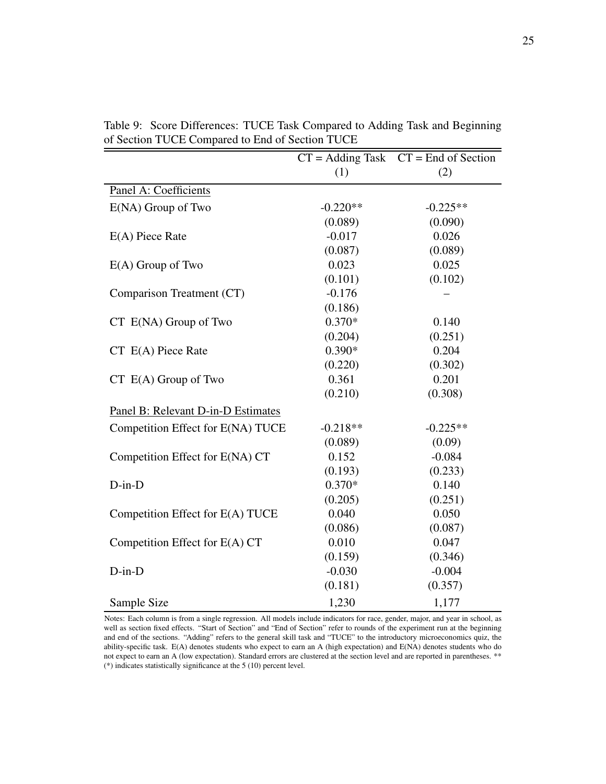|                                    |            | $CT = Adding Task$ $CT = End of Section$ |
|------------------------------------|------------|------------------------------------------|
|                                    | (1)        | (2)                                      |
| Panel A: Coefficients              |            |                                          |
| $E(NA)$ Group of Two               | $-0.220**$ | $-0.225**$                               |
|                                    | (0.089)    | (0.090)                                  |
| $E(A)$ Piece Rate                  | $-0.017$   | 0.026                                    |
|                                    | (0.087)    | (0.089)                                  |
| $E(A)$ Group of Two                | 0.023      | 0.025                                    |
|                                    | (0.101)    | (0.102)                                  |
| Comparison Treatment (CT)          | $-0.176$   |                                          |
|                                    | (0.186)    |                                          |
| $CT$ $E(NA)$ Group of Two          | $0.370*$   | 0.140                                    |
|                                    | (0.204)    | (0.251)                                  |
| $CT E(A)$ Piece Rate               | $0.390*$   | 0.204                                    |
|                                    | (0.220)    | (0.302)                                  |
| $CT E(A)$ Group of Two             | 0.361      | 0.201                                    |
|                                    | (0.210)    | (0.308)                                  |
| Panel B: Relevant D-in-D Estimates |            |                                          |
| Competition Effect for E(NA) TUCE  | $-0.218**$ | $-0.225**$                               |
|                                    | (0.089)    | (0.09)                                   |
| Competition Effect for E(NA) CT    | 0.152      | $-0.084$                                 |
|                                    | (0.193)    | (0.233)                                  |
| $D-in-D$                           | $0.370*$   | 0.140                                    |
|                                    | (0.205)    | (0.251)                                  |
| Competition Effect for E(A) TUCE   | 0.040      | 0.050                                    |
|                                    | (0.086)    | (0.087)                                  |
| Competition Effect for E(A) CT     | 0.010      | 0.047                                    |
|                                    | (0.159)    | (0.346)                                  |
| $D-in-D$                           | $-0.030$   | $-0.004$                                 |
|                                    | (0.181)    | (0.357)                                  |
| Sample Size                        | 1,230      | 1,177                                    |

Table 9: Score Differences: TUCE Task Compared to Adding Task and Beginning of Section TUCE Compared to End of Section TUCE

Notes: Each column is from a single regression. All models include indicators for race, gender, major, and year in school, as well as section fixed effects. "Start of Section" and "End of Section" refer to rounds of the experiment run at the beginning and end of the sections. "Adding" refers to the general skill task and "TUCE" to the introductory microeconomics quiz, the ability-specific task. E(A) denotes students who expect to earn an A (high expectation) and E(NA) denotes students who do not expect to earn an A (low expectation). Standard errors are clustered at the section level and are reported in parentheses. \*\* (\*) indicates statistically significance at the 5 (10) percent level.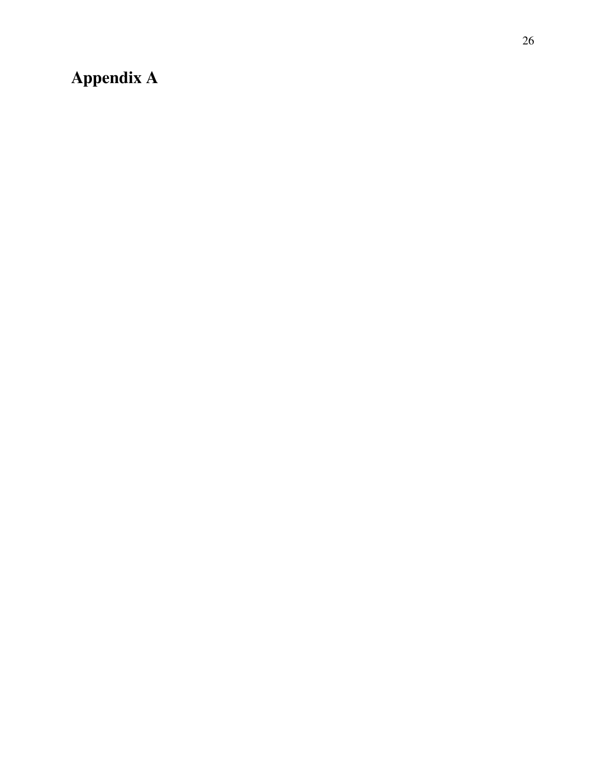# Appendix A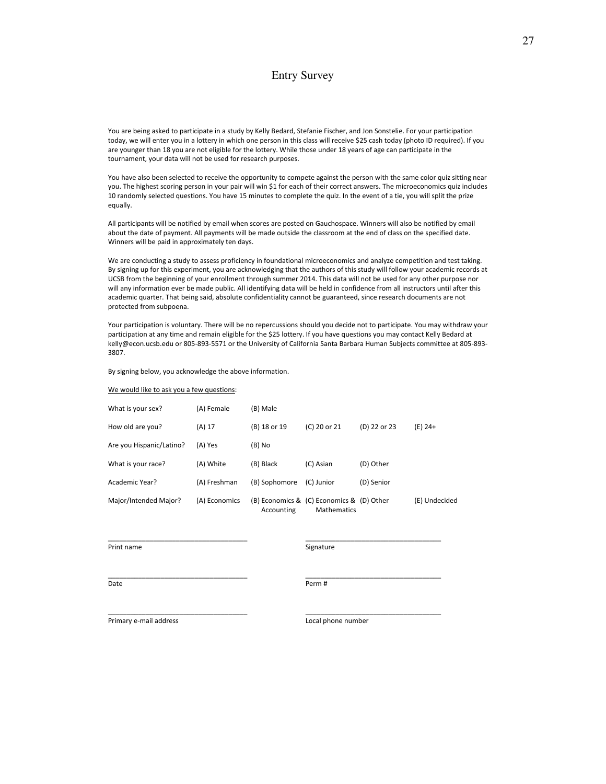### Entry Survey

You are being asked to participate in a study by Kelly Bedard, Stefanie Fischer, and Jon Sonstelie. For your participation today, we will enter you in a lottery in which one person in this class will receive \$25 cash today (photo ID required). If you are younger than 18 you are not eligible for the lottery. While those under 18 years of age can participate in the tournament, your data will not be used for research purposes.

You have also been selected to receive the opportunity to compete against the person with the same color quiz sitting near you. The highest scoring person in your pair will win \$1 for each of their correct answers. The microeconomics quiz includes 10 randomly selected questions. You have 15 minutes to complete the quiz. In the event of a tie, you will split the prize equally.

All participants will be notified by email when scores are posted on Gauchospace. Winners will also be notified by email about the date of payment. All payments will be made outside the classroom at the end of class on the specified date. Winners will be paid in approximately ten days.

We are conducting a study to assess proficiency in foundational microeconomics and analyze competition and test taking. By signing up for this experiment, you are acknowledging that the authors of this study will follow your academic records at UCSB from the beginning of your enrollment through summer 2014. This data will not be used for any other purpose nor will any information ever be made public. All identifying data will be held in confidence from all instructors until after this academic quarter. That being said, absolute confidentiality cannot be guaranteed, since research documents are not protected from subpoena.

Your participation is voluntary. There will be no repercussions should you decide not to participate. You may withdraw your participation at any time and remain eligible for the \$25 lottery. If you have questions you may contact Kelly Bedard at kelly@econ.ucsb.edu or 805‐893‐5571 or the University of California Santa Barbara Human Subjects committee at 805‐893‐ 3807.

By signing below, you acknowledge the above information.

We would like to ask you a few questions:

| What is your sex?        | (A) Female    | (B) Male      |                                                          |              |               |
|--------------------------|---------------|---------------|----------------------------------------------------------|--------------|---------------|
| How old are you?         | (A) 17        | (B) 18 or 19  | (C) 20 or 21                                             | (D) 22 or 23 | (E) 24+       |
| Are you Hispanic/Latino? | (A) Yes       | (B) No        |                                                          |              |               |
| What is your race?       | (A) White     | (B) Black     | (C) Asian                                                | (D) Other    |               |
| Academic Year?           | (A) Freshman  | (B) Sophomore | (C) Junior                                               | (D) Senior   |               |
| Major/Intended Major?    | (A) Economics | Accounting    | (B) Economics & (C) Economics & (D) Other<br>Mathematics |              | (E) Undecided |

\_\_\_\_\_\_\_\_\_\_\_\_\_\_\_\_\_\_\_\_\_\_\_\_\_\_\_\_\_\_\_\_\_\_\_\_\_ \_\_\_\_\_\_\_\_\_\_\_\_\_\_\_\_\_\_\_\_\_\_\_\_\_\_\_\_\_\_\_\_\_\_\_\_

\_\_\_\_\_\_\_\_\_\_\_\_\_\_\_\_\_\_\_\_\_\_\_\_\_\_\_\_\_\_\_\_\_\_\_\_\_ \_\_\_\_\_\_\_\_\_\_\_\_\_\_\_\_\_\_\_\_\_\_\_\_\_\_\_\_\_\_\_\_\_\_\_\_

\_\_\_\_\_\_\_\_\_\_\_\_\_\_\_\_\_\_\_\_\_\_\_\_\_\_\_\_\_\_\_\_\_\_\_\_\_ \_\_\_\_\_\_\_\_\_\_\_\_\_\_\_\_\_\_\_\_\_\_\_\_\_\_\_\_\_\_\_\_\_\_\_\_

Print name **business and the set of the Signature** Signature Signature and the Signature of the Signature of the Signature of the Signature of the Signature of the Signature of the Signature of the Signature of the Signatu

Date **Date Date Perm #** 

Primary e‐mail address Local phone number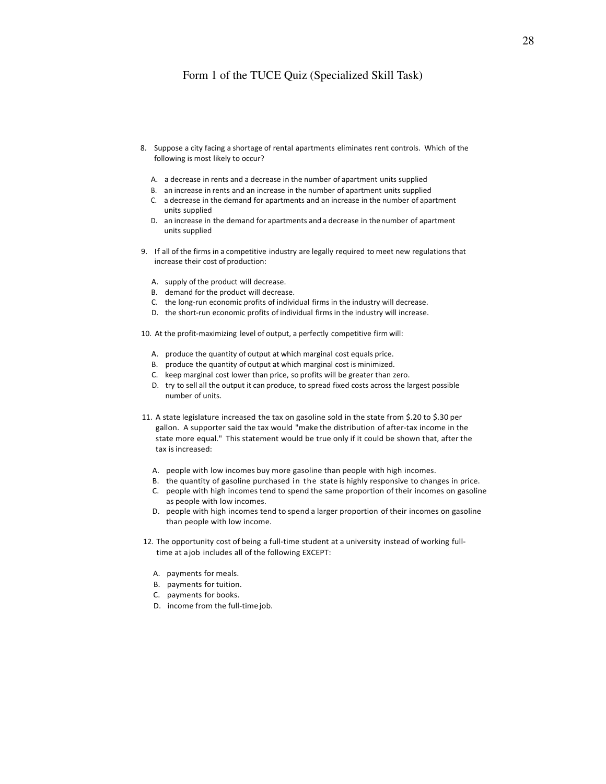#### Form 1 of the TUCE Quiz (Specialized Skill Task)

- 8. Suppose a city facing a shortage of rental apartments eliminates rent controls. Which of the following is most likely to occur?
	- A. a decrease in rents and a decrease in the number of apartment units supplied
	- B. an increase in rents and an increase in the number of apartment units supplied
	- C. a decrease in the demand for apartments and an increase in the number of apartment units supplied
	- D. an increase in the demand for apartments and a decrease in the number of apartment units supplied
- 9. If all of the firms in a competitive industry are legally required to meet new regulations that increase their cost of production:
	- A. supply of the product will decrease.
	- B. demand for the product will decrease.
	- C. the long‐run economic profits of individual firms in the industry will decrease.
	- D. the short-run economic profits of individual firms in the industry will increase.

10. At the profit‐maximizing level of output, a perfectly competitive firm will:

- A. produce the quantity of output at which marginal cost equals price.
- B. produce the quantity of output at which marginal cost is minimized.
- C. keep marginal cost lower than price, so profits will be greater than zero.
- D. try to sell all the output it can produce, to spread fixed costs across the largest possible number of units.
- 11. A state legislature increased the tax on gasoline sold in the state from \$.20 to \$.30 per gallon. A supporter said the tax would "make the distribution of after‐tax income in the state more equal." This statement would be true only if it could be shown that, after the tax is increased:
	- A. people with low incomes buy more gasoline than people with high incomes.
	- B. the quantity of gasoline purchased in the state is highly responsive to changes in price.
	- C. people with high incomes tend to spend the same proportion of their incomes on gasoline as people with low incomes.
	- D. people with high incomes tend to spend a larger proportion of their incomes on gasoline than people with low income.
- 12. The opportunity cost of being a full-time student at a university instead of working fulltime at a job includes all of the following EXCEPT:
	- A. payments for meals.
	- B. payments for tuition.
	- C. payments for books.
	- D. income from the full-time job.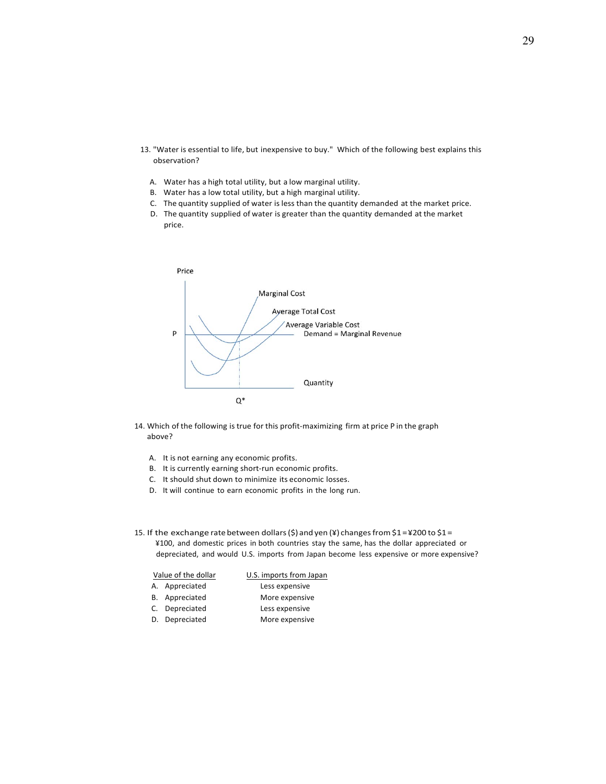- 13. "Water is essential to life, but inexpensive to buy." Which of the following best explains this observation?
	- A. Water has a high total utility, but a low marginal utility.
	- B. Water has a low total utility, but a high marginal utility.
	- C. The quantity supplied of water is less than the quantity demanded at the market price.
	- D. The quantity supplied of water is greater than the quantity demanded at the market price.



- 14. Which of the following is true for this profit-maximizing firm at price P in the graph above?
	- A. It is not earning any economic profits.
	- B. It is currently earning short-run economic profits.
	- C. It should shut down to minimize its economic losses.
	- D. It will continue to earn economic profits in the long run.
- 15. If the exchange rate between dollars (\$) and yen (¥) changes from  $$1 = $200$  to  $$1 =$ ¥100, and domestic prices in both countries stay the same, has the dollar appreciated or depreciated, and would U.S. imports from Japan become less expensive or more expensive?

|    | Value of the dollar | U.S. imports from Japan |
|----|---------------------|-------------------------|
|    | A. Appreciated      | Less expensive          |
|    | B. Appreciated      | More expensive          |
|    | Depreciated         | Less expensive          |
| D. | Depreciated         | More expensive          |
|    |                     |                         |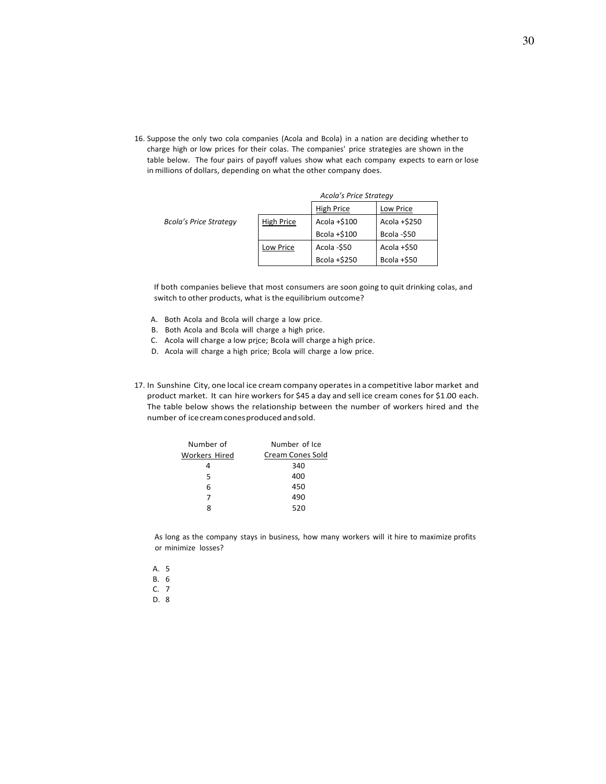16. Suppose the only two cola companies (Acola and Bcola) in a nation are deciding whether to charge high or low prices for their colas. The companies' price strategies are shown in the table below. The four pairs of payoff values show what each company expects to earn or lose in millions of dollars, depending on what the other company does.

|                               |                         | Acola's Price Strategy |                |  |
|-------------------------------|-------------------------|------------------------|----------------|--|
|                               | High Price<br>Low Price |                        |                |  |
| <b>Bcola's Price Strategy</b> | <b>High Price</b>       | Acola +\$100           | Acola +\$250   |  |
|                               |                         | Bcola +\$100           | Bcola -\$50    |  |
|                               | Low Price               | Acola -\$50            | Acola +\$50    |  |
|                               |                         | Bcola +\$250           | Bcola $+$ \$50 |  |

If both companies believe that most consumers are soon going to quit drinking colas, and switch to other products, what is the equilibrium outcome?

- A. Both Acola and Bcola will charge a low price.
- B. Both Acola and Bcola will charge a high price.
- C. Acola will charge‐a low price; Bcola will charge a high price.
- D. Acola will charge a high price; Bcola will charge a low price.
- 17. In Sunshine City, one local ice cream company operatesin a competitive labor market and product market. It can hire workers for \$45 a day and sell ice cream cones for \$1.00 each. The table below shows the relationship between the number of workers hired and the number of icecreamconesproduced andsold.

| Number of            | Number of Ice           |  |  |
|----------------------|-------------------------|--|--|
| <b>Workers Hired</b> | <b>Cream Cones Sold</b> |  |  |
|                      | 340                     |  |  |
| 5                    | 400                     |  |  |
| 6                    | 450                     |  |  |
| 7                    | 490                     |  |  |
|                      | 520                     |  |  |

As long as the company stays in business, how many workers will it hire to maximize profits or minimize losses?

- A. 5 B. 6 C. 7
- D. 8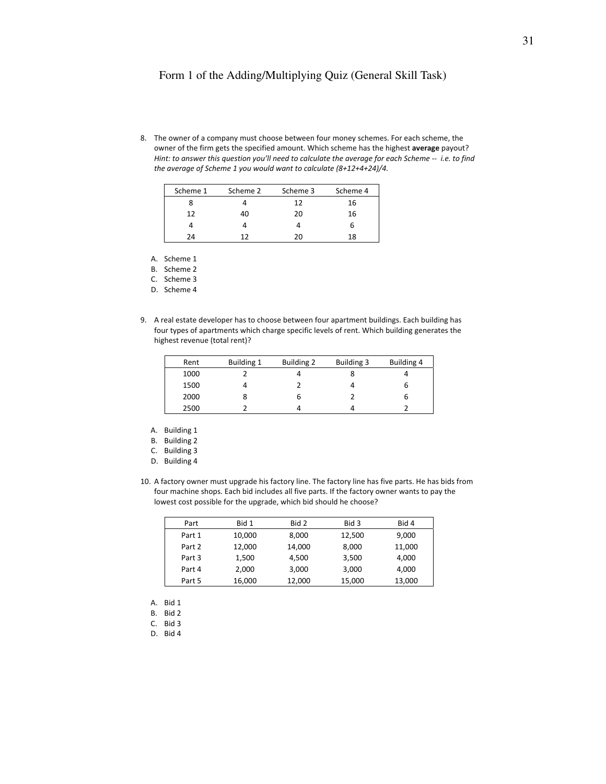#### Form 1 of the Adding/Multiplying Quiz (General Skill Task)

8. The owner of a company must choose between four money schemes. For each scheme, the owner of the firm gets the specified amount. Which scheme has the highest **average** payout? *Hint: to answer this question you'll need to calculate the average for each Scheme ‐‐ i.e. to find the average of Scheme 1 you would want to calculate (8+12+4+24)/4.*

| Scheme 1 | Scheme 2 | Scheme 3 | Scheme 4 |
|----------|----------|----------|----------|
|          |          | 12       | 16       |
| 12       | 40       | 20       | 16       |
|          |          |          | ь        |
| 74       | าว       | 20       | 18       |

A. Scheme 1

B. Scheme 2

C. Scheme 3

D. Scheme 4

9. A real estate developer has to choose between four apartment buildings. Each building has four types of apartments which charge specific levels of rent. Which building generates the highest revenue (total rent)?

| Rent | <b>Building 1</b> | Building 2 | <b>Building 3</b> | Building 4 |
|------|-------------------|------------|-------------------|------------|
| 1000 |                   |            |                   |            |
| 1500 |                   |            |                   | ь          |
| 2000 | 8                 | ь          |                   | ь          |
| 2500 |                   |            |                   |            |

- A. Building 1
- B. Building 2
- C. Building 3
- D. Building 4
- 10. A factory owner must upgrade his factory line. The factory line has five parts. He has bids from four machine shops. Each bid includes all five parts. If the factory owner wants to pay the lowest cost possible for the upgrade, which bid should he choose?

| Part   | Bid 1  | Bid 2  | Bid 3  | Bid 4  |
|--------|--------|--------|--------|--------|
| Part 1 | 10,000 | 8.000  | 12,500 | 9,000  |
| Part 2 | 12.000 | 14,000 | 8,000  | 11,000 |
| Part 3 | 1,500  | 4.500  | 3,500  | 4,000  |
| Part 4 | 2,000  | 3,000  | 3,000  | 4,000  |
| Part 5 | 16,000 | 12,000 | 15,000 | 13,000 |

- A. Bid 1
- B. Bid 2

C. Bid 3

D. Bid 4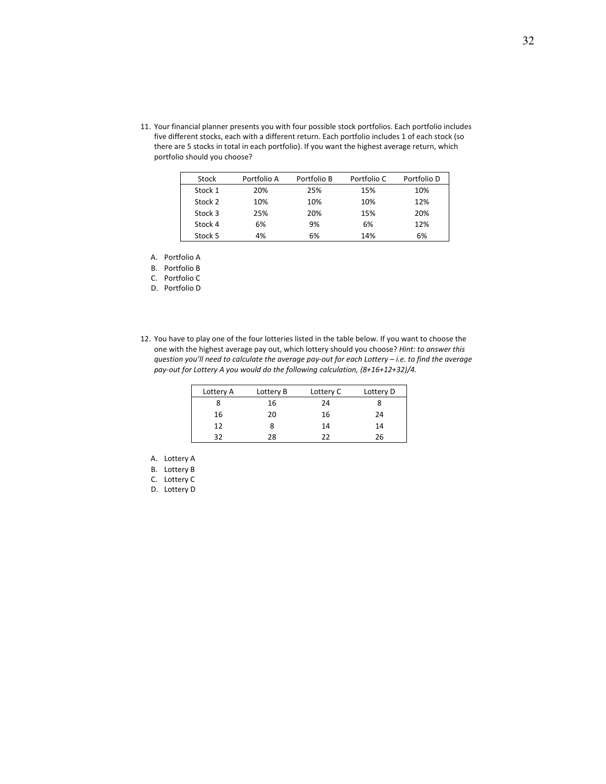11. Your financial planner presents you with four possible stock portfolios. Each portfolio includes five different stocks, each with a different return. Each portfolio includes 1 of each stock (so there are 5 stocks in total in each portfolio). If you want the highest average return, which portfolio should you choose?

| Stock   | Portfolio A | Portfolio B | Portfolio C | Portfolio D |
|---------|-------------|-------------|-------------|-------------|
| Stock 1 | 20%         | 25%         | 15%         | 10%         |
| Stock 2 | 10%         | 10%         | 10%         | 12%         |
| Stock 3 | 25%         | 20%         | 15%         | 20%         |
| Stock 4 | 6%          | 9%          | 6%          | 12%         |
| Stock 5 | 4%          | 6%          | 14%         | 6%          |

A. Portfolio A

B. Portfolio B

C. Portfolio C

D. Portfolio D

12. You have to play one of the four lotteries listed in the table below. If you want to choose the one with the highest average pay out, which lottery should you choose? *Hint: to answer this* question you'll need to calculate the average pay-out for each Lottery - i.e. to find the average *pay‐out for Lottery A you would do the following calculation, (8+16+12+32)/4.*

| Lottery A | Lottery B | Lottery C | Lottery D |
|-----------|-----------|-----------|-----------|
|           | 16        | 24        |           |
| 16        | 20        | 16        | 24        |
| 12        | 8         | 14        | 14        |
| 32        | 28        | フフ        | 26        |

A. Lottery A

B. Lottery B

D. Lottery D

C. Lottery C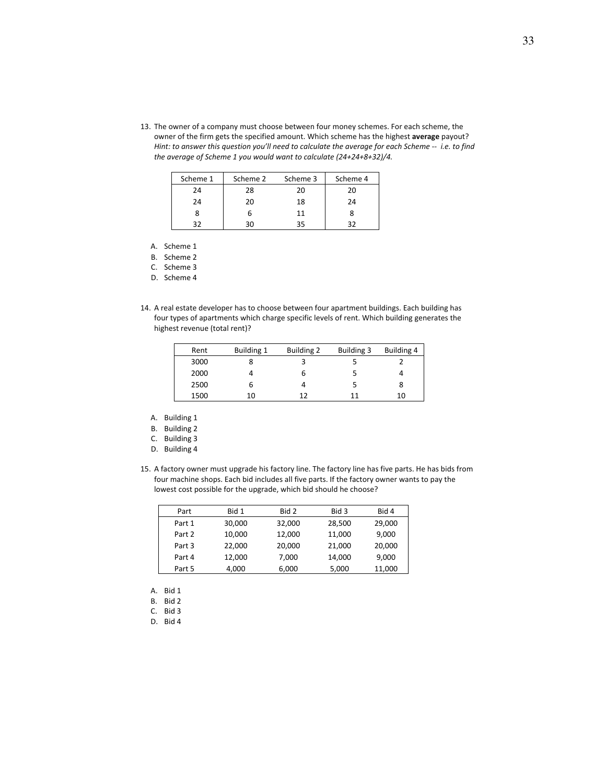13. The owner of a company must choose between four money schemes. For each scheme, the owner of the firm gets the specified amount. Which scheme has the highest **average** payout? Hint: to answer this question you'll need to calculate the average for each Scheme -- i.e. to find *the average of Scheme 1 you would want to calculate (24+24+8+32)/4.*

| Scheme 1 | Scheme 2 | Scheme 3 | Scheme 4 |
|----------|----------|----------|----------|
| 24       | 28       | 20       | 20       |
| 24       | 20       | 18       | 24       |
|          | h        | 11       |          |
| っっ       | 30       | 35       | 27       |

A. Scheme 1

B. Scheme 2

C. Scheme 3

D. Scheme 4

14. A real estate developer has to choose between four apartment buildings. Each building has four types of apartments which charge specific levels of rent. Which building generates the highest revenue (total rent)?

| Rent | Building 1 | Building 2 | Building 3 | Building 4 |
|------|------------|------------|------------|------------|
| 3000 |            |            |            |            |
| 2000 |            |            |            |            |
| 2500 | b          |            | 5          | 8          |
| 1500 | 10         | 17         | 11         | 10         |

A. Building 1

B. Building 2

- C. Building 3
- D. Building 4
- 15. A factory owner must upgrade his factory line. The factory line has five parts. He has bids from four machine shops. Each bid includes all five parts. If the factory owner wants to pay the lowest cost possible for the upgrade, which bid should he choose?

| Part   | Bid 1  | Bid 2  | Bid 3  | Bid 4  |
|--------|--------|--------|--------|--------|
| Part 1 | 30,000 | 32,000 | 28,500 | 29,000 |
| Part 2 | 10,000 | 12,000 | 11,000 | 9,000  |
| Part 3 | 22,000 | 20,000 | 21,000 | 20,000 |
| Part 4 | 12,000 | 7,000  | 14,000 | 9,000  |
| Part 5 | 4,000  | 6,000  | 5,000  | 11,000 |

- A. Bid 1
- B. Bid 2
- C. Bid 3
- D. Bid 4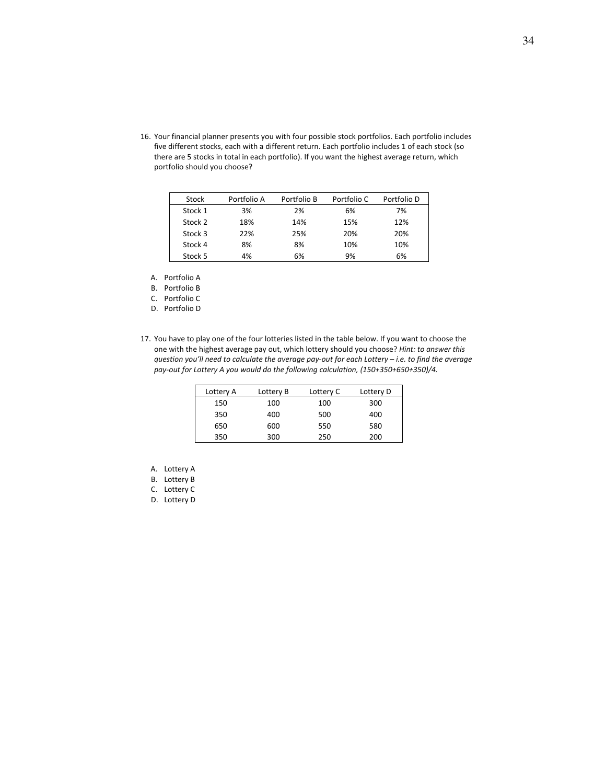16. Your financial planner presents you with four possible stock portfolios. Each portfolio includes five different stocks, each with a different return. Each portfolio includes 1 of each stock (so there are 5 stocks in total in each portfolio). If you want the highest average return, which portfolio should you choose?

| Stock   | Portfolio A | Portfolio B | Portfolio C | Portfolio D |
|---------|-------------|-------------|-------------|-------------|
| Stock 1 | 3%          | 2%          | 6%          | 7%          |
| Stock 2 | 18%         | 14%         | 15%         | 12%         |
| Stock 3 | 22%         | 25%         | 20%         | 20%         |
| Stock 4 | 8%          | 8%          | 10%         | 10%         |
| Stock 5 | 4%          | 6%          | 9%          | 6%          |

A. Portfolio A

B. Portfolio B

C. Portfolio C

D. Portfolio D

17. You have to play one of the four lotteries listed in the table below. If you want to choose the one with the highest average pay out, which lottery should you choose? *Hint: to answer this* question you'll need to calculate the average pay-out for each Lottery - i.e. to find the average *pay‐out for Lottery A you would do the following calculation, (150+350+650+350)/4.*

| Lottery A | Lottery B | Lottery C | Lottery D |
|-----------|-----------|-----------|-----------|
| 150       | 100       | 100       | 300       |
| 350       | 400       | 500       | 400       |
| 650       | 600       | 550       | 580       |
| 350       | 300       | 250       | 200       |

- A. Lottery A
- B. Lottery B
- C. Lottery C
- D. Lottery D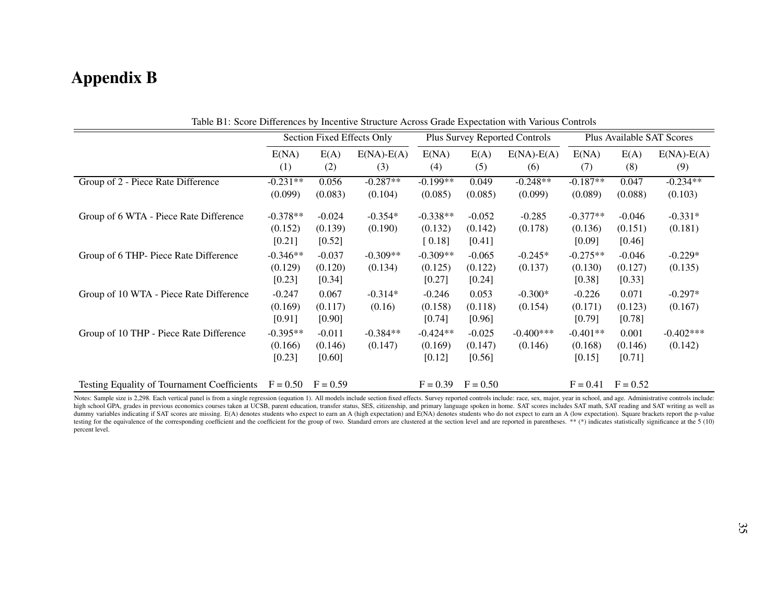# Appendix B

| Table DT. Score Differences by Incentive Structure Across Grade Expectation with various Controls |                                   |                                 |                       |                                      |                                 |                         |                                  |                               |                         |
|---------------------------------------------------------------------------------------------------|-----------------------------------|---------------------------------|-----------------------|--------------------------------------|---------------------------------|-------------------------|----------------------------------|-------------------------------|-------------------------|
|                                                                                                   | Section Fixed Effects Only        |                                 |                       | <b>Plus Survey Reported Controls</b> |                                 |                         | <b>Plus Available SAT Scores</b> |                               |                         |
|                                                                                                   | E(NA)<br>(1)                      | E(A)<br>(2)                     | $E(NA) - E(A)$<br>(3) | E(NA)<br>(4)                         | E(A)<br>(5)                     | $E(NA)$ - $E(A)$<br>(6) | E(NA)<br>(7)                     | E(A)<br>(8)                   | $E(NA)$ - $E(A)$<br>(9) |
| Group of 2 - Piece Rate Difference                                                                | $-0.231**$<br>(0.099)             | 0.056<br>(0.083)                | $-0.287**$<br>(0.104) | $-0.199**$<br>(0.085)                | 0.049<br>(0.085)                | $-0.248**$<br>(0.099)   | $-0.187**$<br>(0.089)            | 0.047<br>(0.088)              | $-0.234**$<br>(0.103)   |
| Group of 6 WTA - Piece Rate Difference                                                            | $-0.378**$<br>(0.152)<br>$[0.21]$ | $-0.024$<br>(0.139)<br>$[0.52]$ | $-0.354*$<br>(0.190)  | $-0.338**$<br>(0.132)<br>$[0.18]$    | $-0.052$<br>(0.142)<br>$[0.41]$ | $-0.285$<br>(0.178)     | $-0.377**$<br>(0.136)<br>[0.09]  | $-0.046$<br>(0.151)<br>[0.46] | $-0.331*$<br>(0.181)    |
| Group of 6 THP- Piece Rate Difference                                                             | $-0.346**$<br>(0.129)<br>$[0.23]$ | $-0.037$<br>(0.120)<br>$[0.34]$ | $-0.309**$<br>(0.134) | $-0.309**$<br>(0.125)<br>$[0.27]$    | $-0.065$<br>(0.122)<br>[0.24]   | $-0.245*$<br>(0.137)    | $-0.275**$<br>(0.130)<br>[0.38]  | $-0.046$<br>(0.127)<br>[0.33] | $-0.229*$<br>(0.135)    |
| Group of 10 WTA - Piece Rate Difference                                                           | $-0.247$<br>(0.169)<br>$[0.91]$   | 0.067<br>(0.117)<br>$[0.90]$    | $-0.314*$<br>(0.16)   | $-0.246$<br>(0.158)<br>$[0.74]$      | 0.053<br>(0.118)<br>[0.96]      | $-0.300*$<br>(0.154)    | $-0.226$<br>(0.171)<br>[0.79]    | 0.071<br>(0.123)<br>$[0.78]$  | $-0.297*$<br>(0.167)    |
| Group of 10 THP - Piece Rate Difference                                                           | $-0.395**$<br>(0.166)<br>[0.23]   | $-0.011$<br>(0.146)<br>$[0.60]$ | $-0.384**$<br>(0.147) | $-0.424**$<br>(0.169)<br>$[0.12]$    | $-0.025$<br>(0.147)<br>[0.56]   | $-0.400***$<br>(0.146)  | $-0.401**$<br>(0.168)<br>[0.15]  | 0.001<br>(0.146)<br>[0.71]    | $-0.402***$<br>(0.142)  |
| <b>Testing Equality of Tournament Coefficients</b>                                                | $F = 0.50$                        | $F = 0.59$                      |                       | $F = 0.39$                           | $F = 0.50$                      |                         | $F = 0.41$                       | $F = 0.52$                    |                         |

Table B1: Score Differences by Incentive Structure Across Grade Expectation with Various Controls

Notes: Sample size is 2,298. Each vertical panel is from a single regression (equation 1). All models include section fixed effects. Survey reported controls include: race, sex, major, year in school, and age. Administrati high school GPA, grades in previous economics courses taken at UCSB, parent education, transfer status, SES, citizenship, and primary language spoken in home. SAT scores includes SAT math, SAT reading and SAT writing as we dummy variables indicating if SAT scores are missing. E(A) denotes students who expect to earn an A (high expectation) and E(NA) denotes students who do not expect to earn an A (low expectation). Square brackets report the testing for the equivalence of the corresponding coefficient and the coefficient for the group of two. Standard errors are clustered at the section level and are reported in parentheses. \*\* (\*) indicates statistically sign percen<sup>t</sup> level.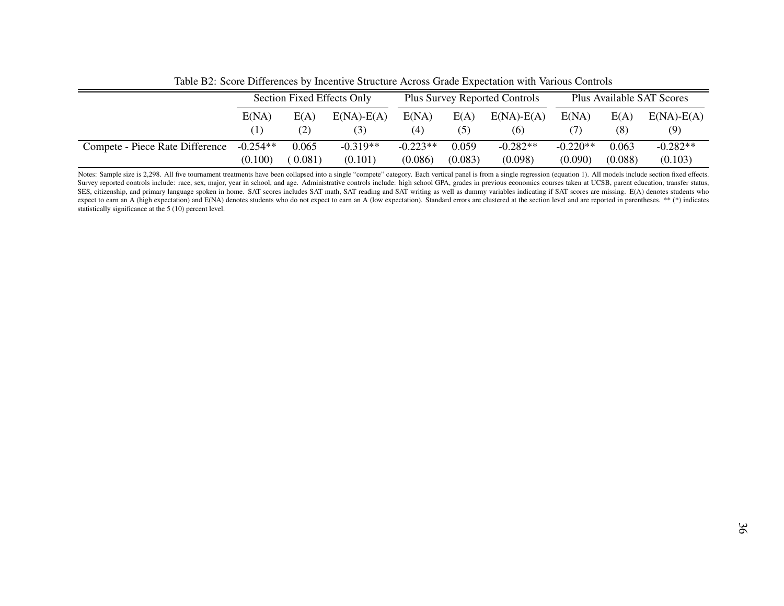|                                 | Section Fixed Effects Only |         |                         | <b>Plus Survey Reported Controls</b> |             |                     | Plus Available SAT Scores |             |                     |
|---------------------------------|----------------------------|---------|-------------------------|--------------------------------------|-------------|---------------------|---------------------------|-------------|---------------------|
|                                 | E(NA)                      | E(A)    | $E(NA)$ - $E(A)$<br>(3) | E(NA)<br>(4)                         | E(A)<br>(5) | $E(NA)-E(A)$<br>(6) | E(NA)                     | E(A)<br>(8) | $E(NA)-E(A)$<br>(9) |
| Compete - Piece Rate Difference | $-0.254**$                 | 0.065   | $-0.319**$              | $-0.223**$                           | 0.059       | $-0.282**$          | $-0.220**$                | 0.063       | $-0.282**$          |
|                                 | (0.100)                    | (0.081) | (0.101)                 | (0.086)                              | (0.083)     | (0.098)             | (0.090)                   | (0.088)     | (0.103)             |

Table B2: Score Differences by Incentive Structure Across Grade Expectation with Various Controls

Notes: Sample size is 2,298. All five tournament treatments have been collapsed into a single "compete" category. Each vertical panel is from a single regression (equation 1). All models include section fixed effects. Survey reported controls include: race, sex, major, year in school, and age. Administrative controls include: high school GPA, grades in previous economics courses taken at UCSB, parent education, transfer status, SES, citizenship, and primary language spoken in home. SAT scores includes SAT math, SAT reading and SAT writing as well as dummy variables indicating if SAT scores are missing. E(A) denotes students whoexpect to earn an A (high expectation) and E(NA) denotes students who do not expect to earn an A (low expectation). Standard errors are clustered at the section level and are reported in parentheses. \*\* (\*) indicates statistically significance at the 5 (10) percen<sup>t</sup> level.